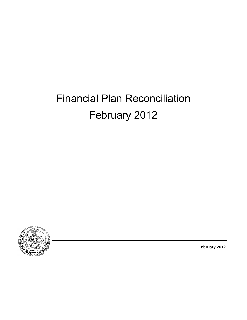# Financial Plan Reconciliation February 2012



**February 2012**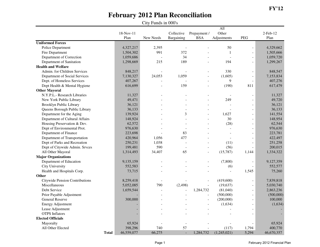|                                       |              |            |                |                |                          | All            |                          |                |
|---------------------------------------|--------------|------------|----------------|----------------|--------------------------|----------------|--------------------------|----------------|
|                                       |              | 18-Nov-11  |                | Collective     | Prepayment /             | Other          |                          | $2$ -Feb- $12$ |
|                                       |              | Plan       | New Needs      | Bargaining     | <b>BSA</b>               | Adjustments    | <b>PEG</b>               | Plan           |
| <b>Uniformed Forces</b>               |              |            |                |                |                          |                |                          |                |
| Police Department                     |              | 4,327,217  | 2,395          |                |                          | 50             | $\overline{a}$           | 4,329,662      |
| Fire Department                       |              | 1,504,302  | 991            | 372            |                          | $\mathbf{1}$   | $\overline{a}$           | 1,505,666      |
| Department of Correction              |              | 1,059,686  | $\overline{a}$ | 34             |                          | $\overline{a}$ | $\overline{a}$           | 1,059,720      |
| Department of Sanitation              |              | 1,298,669  | 215            | 189            | $\overline{a}$           | 194            | $\overline{a}$           | 1,299,267      |
| <b>Health and Welfare</b>             |              |            |                |                |                          |                |                          |                |
| Admin. for Children Services          |              | 848,217    |                |                |                          | 330            | $\overline{a}$           | 848,547        |
| Department of Social Services         |              | 7,130,327  | 24,053         | 1,059          | $\overline{a}$           | (1.605)        | $\overline{\phantom{a}}$ | 7,153,834      |
| Dept. of Homeless Services            |              | 407,267    |                |                | $\overline{a}$           | 9              | $\overline{\phantom{a}}$ | 407,276        |
| Dept Health & Mental Hygiene          |              | 616,699    |                | 159            |                          | (190)          | 811                      | 617,479        |
| <b>Other Mayoral</b>                  |              |            |                |                |                          |                |                          |                |
| N.Y.P.L.- Research Libraries          |              | 11,327     |                |                |                          | L,             | $\overline{a}$           | 11,327         |
| New York Public Library               |              | 49,471     |                |                |                          | 249            | $\overline{a}$           | 49,720         |
| Brooklyn Public Library               |              | 36,121     |                |                |                          |                | $\overline{a}$           | 36,121         |
| Queens Borough Public Library         |              | 36,133     |                |                |                          |                | $\overline{a}$           | 36,133         |
| Department for the Aging              |              | 139,924    |                | 3              |                          | 1.627          | $\overline{\phantom{a}}$ | 141,554        |
| Department of Cultural Affairs        |              | 148,924    |                |                |                          | 30             | $\overline{a}$           | 148,954        |
| Housing Preservation & Dev.           |              | 62,572     |                |                |                          | (28)           | $\overline{\phantom{a}}$ | 62,544         |
| Dept of Environmental Prot.           |              | 976,630    |                | $\overline{a}$ |                          | $\overline{a}$ | $\overline{\phantom{a}}$ | 976,630        |
| Department of Finance                 |              | 223,698    |                | 83             |                          |                | $\overline{a}$           | 223,781        |
| Department of Transportation          |              | 420,964    | 1.056          | 477            |                          |                |                          | 422,497        |
| Dept of Parks and Recreation          |              | 250,231    | 1,038          | $\overline{a}$ |                          | (11)           | $\overline{\phantom{a}}$ | 251,258        |
| Dept of Citywide Admin. Srvces        |              | 199,481    | 590            | $\overline{a}$ |                          | (56)           | $\overline{\phantom{a}}$ | 200,015        |
| All Other Mayoral                     |              | 1,314,493  | 34,407         | 65             |                          | (15,787)       | 1,144                    | 1,334,322      |
| <b>Major Organizations</b>            |              |            |                |                |                          |                |                          |                |
| Department of Education               |              | 9,135,159  |                |                |                          | (7,800)        | $\overline{a}$           | 9,127,359      |
| City University                       |              | 552,583    |                |                |                          | (6)            |                          | 552,577        |
| Health and Hospitals Corp.            |              | 73,715     |                |                |                          | $\overline{a}$ | 1,545                    | 75,260         |
| Other                                 |              |            |                |                |                          |                |                          |                |
| <b>Citywide Pension Contributions</b> |              | 8,259,418  |                |                |                          | (419,600)      | $\overline{a}$           | 7,839,818      |
| Miscellaneous                         |              | 5,052,085  | 790            | (2, 498)       |                          | (19,637)       | $\overline{\phantom{a}}$ | 5,030,740      |
| Debt Service                          |              | 1,659,544  | $\overline{a}$ | $\overline{a}$ | 1,284,732                | (81,040)       | $\overline{\phantom{a}}$ | 2,863,236      |
| Prior Payable Adjustment              |              |            |                |                | $\overline{a}$           | (500,000)      | $\overline{a}$           | (500,000)      |
| <b>General Reserve</b>                |              | 300,000    |                |                | $\overline{a}$           | (200,000)      | $\overline{\phantom{a}}$ | 100,000        |
| <b>Energy Adjustment</b>              |              |            |                |                | $\overline{\phantom{a}}$ | (1,634)        | $\overline{a}$           | (1,634)        |
| Lease Adjustment                      |              |            |                |                | ÷.                       |                | $\overline{a}$           |                |
| <b>OTPS</b> Inflators                 |              |            |                |                |                          |                |                          |                |
| <b>Elected Officials</b>              |              |            |                |                |                          |                |                          |                |
| Mayoralty                             |              | 65,924     |                |                |                          |                |                          | 65,924         |
| All Other Elected                     |              | 398,296    | 740            | 57             |                          | (117)          | 1,794                    | 400,770        |
|                                       | <b>Total</b> | 46,559,077 | 66,275         | $\blacksquare$ | 1,284,732                | (1,245,021)    | 5,294                    | 46,670,357     |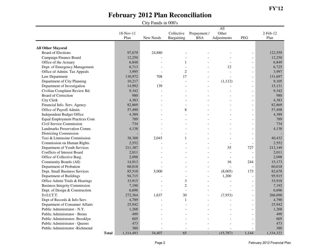|                                       |             |                |                |                | All                      |                          |             |
|---------------------------------------|-------------|----------------|----------------|----------------|--------------------------|--------------------------|-------------|
|                                       | $18-Nov-11$ |                | Collective     | Prepayment /   | Other                    |                          | $2$ -Feb-12 |
|                                       | Plan        | New Needs      | Bargaining     | <b>BSA</b>     | Adjustments              | <b>PEG</b>               | Plan        |
|                                       |             |                |                |                |                          |                          |             |
| <b>All Other Mayoral</b>              |             |                |                |                |                          |                          |             |
| Board of Elections                    | 97,679      | 24,880         |                |                |                          | $\overline{a}$           | 122,559     |
| Campaign Finance Board                | 12,250      |                |                |                |                          |                          | 12,250      |
| Office of the Actuary                 | 6,848       |                | 1              |                |                          | L,                       | 6,849       |
| Dept. of Emergency Management         | 6,713       | $\overline{a}$ | $\overline{a}$ |                | 12                       | $\overline{a}$           | 6,725       |
| Office of Admin. Tax Appeals          | 3,995       |                | $\overline{c}$ |                | $\overline{a}$           | $\overline{a}$           | 3,997       |
| Law Department                        | 130,972     | 708            | 17             |                |                          |                          | 131,697     |
| Department of City Planning           | 10,217      |                |                |                | (1, 112)                 |                          | 9,105       |
| Department of Investigation           | 14,992      | 139            |                | L.             |                          | $\overline{a}$           | 15,131      |
| Civilian Complaint Review Bd.         | 9,342       | $\overline{a}$ |                |                |                          | $\overline{a}$           | 9,342       |
| <b>Board of Correction</b>            | 980         |                |                |                |                          |                          | 980         |
| City Clerk                            | 4,383       |                |                |                |                          |                          | 4,383       |
| Financial Info. Serv. Agency          | 82,869      |                |                |                |                          | $\overline{a}$           | 82,869      |
| Office of Payroll Admin.              | 57,490      |                | 8              |                |                          | $\overline{a}$           | 57,498      |
| Independent Budget Office             | 4,389       |                |                |                |                          | $\overline{a}$           | 4,389       |
| <b>Equal Employment Practices Com</b> | 789         |                |                |                |                          |                          | 789         |
| Civil Service Commission              | 734         |                |                |                |                          |                          | 734         |
| Landmarks Preservation Comm.          | 4,138       |                |                |                |                          |                          | 4,138       |
| <b>Districting Commission</b>         |             |                |                |                |                          | $\overline{a}$           |             |
| Taxi & Limousine Commission           | 38,388      | 2,043          | 1              |                |                          | $\overline{a}$           | 40,432      |
| Commission on Human Rights            | 2,552       |                |                |                | $\overline{a}$           | $\overline{\phantom{a}}$ | 2,552       |
| Department of Youth Services          | 211,387     |                |                |                | 35                       | 727                      | 212,149     |
| Conflicts of Interest Board           | 2,011       |                |                |                | $\overline{a}$           | $\overline{a}$           | 2,011       |
| Office of Collective Barg.            | 2,098       |                |                |                | $\overline{\phantom{a}}$ | $\overline{a}$           | 2,098       |
| Community Boards (All)                | 14,913      |                |                |                | 16                       | 244                      | 15,173      |
| Department of Probation               | 60,018      |                |                |                | $\overline{a}$           | $\overline{a}$           | 60,018      |
| Dept. Small Business Services         | 85,510      | 5,000          |                | L,             | (8,005)                  | 173                      | 82,678      |
| Department of Buildings               | 94,715      |                |                | $\overline{a}$ | 1,200                    | $\overline{a}$           | 95,915      |
| Office Admin Trials & Hearings        | 33,915      |                | 3              |                |                          |                          | 33,918      |
| <b>Business Integrity Commission</b>  | 7,190       |                | $\overline{2}$ |                |                          |                          | 7.192       |
| Dept. of Design & Construction        | 6,696       |                | $\blacksquare$ |                |                          | $\overline{a}$           | 6.696       |
| D.O.I.T.T.                            | 272,364     | 1,637          | 30             | $\overline{a}$ | (7,933)                  | $\overline{a}$           | 266,098     |
| Dept of Records & Info Serv.          | 4,789       |                | $\mathbf{1}$   | L.             |                          | $\overline{a}$           | 4,790       |
| Department of Consumer Affairs        | 25,942      |                |                |                |                          |                          | 25,942      |
| Public Administrator - N.Y.           | 1,268       |                |                |                |                          | $\blacksquare$           | 1,268       |
| Public Administrator - Bronx          | 499         |                |                |                |                          | $\overline{a}$           | 499         |
| Public Administrator- Brooklyn        | 605         |                |                |                |                          |                          | 605         |
| Public Administrator - Queens         | 473         |                |                |                |                          |                          | 473         |
| Public Administrator -Richmond        | 380         |                |                |                |                          |                          | 380         |
| <b>Total</b>                          | 1,314,493   | 34,407         | 65             | $\overline{a}$ | (15, 787)                | 1,144                    | 1,334,322   |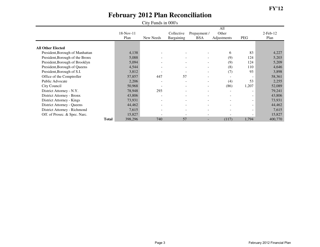|                                 |           | $\mathcal{L}$ is a contracted in the set of $\mathcal{L}$ |                          |                              |                          |                          |                |
|---------------------------------|-----------|-----------------------------------------------------------|--------------------------|------------------------------|--------------------------|--------------------------|----------------|
|                                 |           |                                                           |                          |                              | All                      |                          |                |
|                                 | 18-Nov-11 |                                                           | Collective               | Prepayment /                 | Other                    |                          | $2$ -Feb- $12$ |
|                                 | Plan      | New Needs                                                 | Bargaining               | <b>BSA</b>                   | Adjustments              | <b>PEG</b>               | Plan           |
|                                 |           |                                                           |                          |                              |                          |                          |                |
| <b>All Other Elected</b>        |           |                                                           |                          |                              |                          |                          |                |
| President, Borough of Manhattan | 4,138     |                                                           |                          |                              | 6                        | 83                       | 4,227          |
| President, Borough of the Bronx | 5,088     |                                                           | $\overline{\phantom{a}}$ |                              | (9)                      | 124                      | 5,203          |
| President, Borough of Brooklyn  | 5,094     |                                                           | $\overline{\phantom{a}}$ | $\overline{\phantom{a}}$     | (9)                      | 124                      | 5,209          |
| President, Borough of Queens    | 4,544     | $\overline{\phantom{a}}$                                  | $\overline{\phantom{a}}$ | $\overline{\phantom{a}}$     | (8)                      | 110                      | 4,646          |
| President, Borough of S.I.      | 3,812     |                                                           | $\overline{\phantom{a}}$ | $\overline{\phantom{a}}$     | (7)                      | 93                       | 3,898          |
| Office of the Comptroller       | 57,857    | 447                                                       | 57                       | $\overline{\phantom{a}}$     | $\overline{\phantom{a}}$ | $\overline{\phantom{a}}$ | 58,361         |
| Public Advocate                 | 2,206     | $\overline{\phantom{a}}$                                  | $\overline{\phantom{0}}$ | $\overline{\phantom{a}}$     | (4)                      | 53                       | 2,255          |
| City Council                    | 50,968    | $\overline{\phantom{a}}$                                  | $\overline{\phantom{a}}$ | $\qquad \qquad \blacksquare$ | (86)                     | 1,207                    | 52,089         |
| District Attorney - N.Y.        | 78,948    | 293                                                       | $\overline{\phantom{a}}$ |                              | $\overline{\phantom{a}}$ |                          | 79,241         |
| District Attorney - Bronx       | 43,806    | $\overline{\phantom{0}}$                                  | $\overline{\phantom{a}}$ |                              |                          | ۰                        | 43,806         |
| District Attorney - Kings       | 73,931    | $\overline{\phantom{a}}$                                  | $\overline{\phantom{a}}$ |                              | $\overline{\phantom{a}}$ | $\overline{\phantom{0}}$ | 73,931         |
| District Attorney - Queens      | 44,462    | $\overline{\phantom{a}}$                                  | $\overline{\phantom{a}}$ |                              |                          |                          | 44,462         |
| District Attorney - Richmond    | 7,615     | $\blacksquare$                                            | $\overline{\phantom{0}}$ |                              |                          | $\overline{\phantom{0}}$ | 7,615          |
| Off. of Prosec. & Spec. Narc.   | 15,827    |                                                           |                          |                              |                          | $\sim$                   | 15,827         |
| Total                           | 398,296   | 740                                                       | 57                       | ۰.                           | (117)                    | 1,794                    | 400,770        |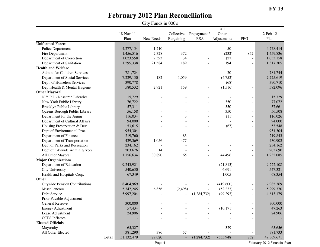#### **FY'13**

## **February 2012 Plan Reconciliation**

|                                       |              |            | City Funds in 000's |                          |                |             |                          |                |
|---------------------------------------|--------------|------------|---------------------|--------------------------|----------------|-------------|--------------------------|----------------|
|                                       |              |            |                     |                          |                | All         |                          |                |
|                                       |              | 18-Nov-11  |                     | Collective               | Prepayment /   | Other       |                          | $2$ -Feb- $12$ |
|                                       |              | Plan       | New Needs           | Bargaining               | <b>BSA</b>     | Adjustments | PEG                      | Plan           |
| <b>Uniformed Forces</b>               |              |            |                     |                          |                |             |                          |                |
| Police Department                     |              | 4,277,154  | 1,210               |                          |                | 50          |                          | 4,278,414      |
| Fire Department                       |              | 1,456,516  | 2,328               | 372                      |                | (232)       | 852                      | 1,459,836      |
| Department of Correction              |              | 1,023,558  | 9,593               | 34                       |                | (27)        |                          | 1,033,158      |
| Department of Sanitation              |              | 1,295,338  | 21,584              | 189                      |                | 194         |                          | 1,317,305      |
| <b>Health and Welfare</b>             |              |            |                     |                          |                |             |                          |                |
| Admin. for Children Services          |              | 781,724    |                     |                          |                | 20          |                          | 781,744        |
| Department of Social Services         |              | 7,229,130  | 182                 | 1,059                    |                | (4,752)     |                          | 7,225,619      |
| Dept. of Homeless Services            |              | 390,778    |                     |                          |                | (68)        | $\blacksquare$           | 390,710        |
| Dept Health & Mental Hygiene          |              | 580,532    | 2,921               | 159                      | $\blacksquare$ | (1,516)     | $\blacksquare$           | 582,096        |
| <b>Other Mayoral</b>                  |              |            |                     |                          |                |             |                          |                |
| N.Y.P.L.- Research Libraries          |              | 15,729     |                     |                          |                |             |                          | 15,729         |
| New York Public Library               |              | 76,722     |                     |                          |                | 350         |                          | 77,072         |
| <b>Brooklyn Public Library</b>        |              | 57,311     |                     |                          |                | 350         |                          | 57,661         |
| Queens Borough Public Library         |              | 56,158     |                     |                          |                | 350         |                          | 56,508         |
| Department for the Aging              |              | 116,034    |                     | 3                        |                | (11)        | $\blacksquare$           | 116,026        |
| Department of Cultural Affairs        |              | 94,000     |                     |                          |                |             |                          | 94,000         |
| Housing Preservation & Dev.           |              | 53,615     |                     |                          |                | (67)        |                          | 53,548         |
| Dept of Environmental Prot.           |              | 954,304    |                     |                          |                |             |                          | 954,304        |
| Department of Finance                 |              | 219,760    |                     | 83                       |                |             |                          | 219,843        |
| Department of Transportation          |              | 429,369    | 1,056               | 477                      |                |             |                          | 430,902        |
| Dept of Parks and Recreation          |              | 234,162    |                     |                          |                |             | $\overline{\phantom{a}}$ | 234,162        |
| Dept of Citywide Admin. Srvces        |              | 203,676    | 14                  | $\overline{\phantom{a}}$ |                |             | $\blacksquare$           | 203,690        |
| All Other Mayoral                     |              | 1,156,634  | 30,890              | 65                       |                | 44,496      | $\blacksquare$           | 1,232,085      |
| <b>Major Organizations</b>            |              |            |                     |                          |                |             |                          |                |
| Department of Education               |              | 9,243,921  |                     |                          |                | (21, 813)   |                          | 9,222,108      |
| <b>City University</b>                |              | 540,630    |                     |                          |                | 6,691       | $\overline{\phantom{a}}$ | 547,321        |
| Health and Hospitals Corp.            |              | 67,349     |                     |                          |                | 1,005       |                          | 68,354         |
| Other                                 |              |            |                     |                          |                |             |                          |                |
| <b>Citywide Pension Contributions</b> |              | 8,404,969  |                     |                          |                | (419,600)   |                          | 7,985,369      |
| Miscellaneous                         |              | 5,347,245  | 6,856               | (2, 498)                 |                | (52, 233)   | $\blacksquare$           | 5,299,370      |
| Debt Service                          |              | 5,997,204  |                     |                          | (1,284,732)    | (99, 293)   |                          | 4,613,179      |
| Prior Payable Adjustment              |              |            |                     | $\overline{\phantom{a}}$ |                |             | $\overline{\phantom{a}}$ |                |
| <b>General Reserve</b>                |              | 300,000    |                     |                          |                |             |                          | 300,000        |
| <b>Energy Adjustment</b>              |              | 57,434     |                     |                          |                | (10, 171)   |                          | 47,263         |
| Lease Adjustment                      |              | 24,906     |                     |                          |                |             |                          | 24,906         |
| <b>OTPS</b> Inflators                 |              |            |                     |                          |                |             |                          |                |
| <b>Elected Officials</b>              |              |            |                     |                          |                |             |                          |                |
| Mayoralty                             |              | 65,327     |                     |                          |                | 329         |                          | 65,656         |
| All Other Elected                     |              | 381,290    | 386                 | 57                       |                |             |                          | 381,733        |
|                                       | <b>Total</b> | 51,132,479 | 77,020              | $\overline{\phantom{a}}$ | (1, 284, 732)  | (555,948)   | 852                      | 49,369,671     |

February 2012 Financial Plan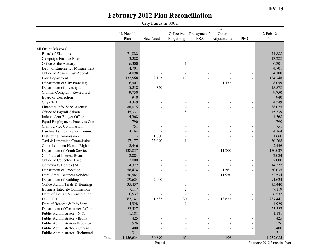City Funds in 000's

|                                       |           |           |                |                          | $\overline{All}$ |                          |                |
|---------------------------------------|-----------|-----------|----------------|--------------------------|------------------|--------------------------|----------------|
|                                       | 18-Nov-11 |           | Collective     | Prepayment /             | Other            |                          | $2$ -Feb- $12$ |
|                                       | Plan      | New Needs | Bargaining     | <b>BSA</b>               | Adjustments      | PEG                      | Plan           |
|                                       |           |           |                |                          |                  |                          |                |
| <b>All Other Mayoral</b>              |           |           |                |                          |                  |                          |                |
| <b>Board of Elections</b>             | 71,888    |           |                |                          |                  |                          | 71,888         |
| Campaign Finance Board                | 13,288    |           |                |                          |                  |                          | 13,288         |
| Office of the Actuary                 | 6,300     |           | 1              |                          |                  |                          | 6,301          |
| Dept. of Emergency Management         | 4,701     |           |                |                          |                  | $\blacksquare$           | 4,701          |
| Office of Admin. Tax Appeals          | 4,098     |           | $\overline{2}$ |                          |                  |                          | 4,100          |
| Law Department                        | 132,568   | 2,163     | 17             |                          |                  |                          | 134,748        |
| Department of City Planning           | 6,907     |           |                | $\overline{\phantom{a}}$ | 1,152            | $\overline{\phantom{a}}$ | 8,059          |
| Department of Investigation           | 15,238    | 340       |                |                          |                  | $\overline{\phantom{a}}$ | 15,578         |
| Civilian Complaint Review Bd.         | 9,750     |           |                |                          |                  | $\overline{\phantom{a}}$ | 9,750          |
| <b>Board of Correction</b>            | 940       |           |                |                          |                  |                          | 940            |
| <b>City Clerk</b>                     | 4,349     |           |                |                          |                  | $\overline{\phantom{a}}$ | 4,349          |
| Financial Info. Serv. Agency          | 88,075    |           |                |                          |                  | $\overline{\phantom{a}}$ | 88,075         |
| Office of Payroll Admin.              | 45,331    |           | 8              |                          |                  | $\overline{\phantom{a}}$ | 45,339         |
| Independent Budget Office             | 4,368     |           |                |                          |                  | $\overline{\phantom{a}}$ | 4,368          |
| <b>Equal Employment Practices Com</b> | 790       |           |                |                          |                  |                          | 790            |
| Civil Service Commission              | 751       |           |                |                          |                  |                          | 751            |
| Landmarks Preservation Comm.          | 4,164     |           |                |                          |                  | $\overline{\phantom{a}}$ | 4,164          |
| Districting Commission                |           | 1,660     |                |                          |                  | $\overline{\phantom{a}}$ | 1,660          |
| Taxi & Limousine Commission           | 37,177    | 23,090    |                |                          |                  |                          | 60,268         |
| Commission on Human Rights            | 2,446     |           |                |                          |                  |                          | 2,446          |
| Department of Youth Services          | 138,837   |           |                | $\overline{\phantom{a}}$ | 11,200           | $\blacksquare$           | 150,037        |
| Conflicts of Interest Board           | 2,084     |           |                |                          |                  | $\overline{\phantom{a}}$ | 2,084          |
| Office of Collective Barg.            | 2,000     |           |                |                          |                  | $\overline{\phantom{a}}$ | 2,000          |
| Community Boards (All)                | 14,372    |           |                |                          |                  | $\overline{\phantom{a}}$ | 14,372         |
| Department of Probation               | 58,474    |           |                |                          | 1,561            | $\overline{\phantom{a}}$ | 60,035         |
| Dept. Small Business Services         | 50,584    |           |                | $\overline{\phantom{a}}$ | 11,950           | $\overline{\phantom{a}}$ | 62,534         |
| Department of Buildings               | 89,624    | 2,000     |                |                          |                  | $\blacksquare$           | 91,624         |
| Office Admin Trials & Hearings        | 35,437    |           | 3              |                          |                  | $\overline{\phantom{a}}$ | 35,440         |
| <b>Business Integrity Commission</b>  | 7,117     |           | $\overline{c}$ |                          |                  | $\overline{\phantom{a}}$ | 7,119          |
| Dept. of Design & Construction        | 6,537     |           | $\blacksquare$ |                          |                  | $\overline{\phantom{a}}$ | 6,537          |
| D.O.I.T.T.                            | 267,141   | 1,637     | 30             | $\overline{\phantom{a}}$ | 18,633           | $\overline{\phantom{a}}$ | 287,441        |
| Dept of Records & Info Serv.          | 4,928     |           | 1              |                          |                  | $\overline{\phantom{a}}$ | 4,929          |
| Department of Consumer Affairs        | 23,527    |           |                |                          |                  |                          | 23,527         |
| Public Administrator - N.Y.           | 1,181     |           |                |                          |                  | $\overline{\phantom{a}}$ | 1,181          |
| Public Administrator - Bronx          | 425       |           |                |                          |                  |                          | 425            |
| Public Administrator- Brooklyn        | 526       |           |                |                          |                  |                          | 526            |
| Public Administrator - Queens         | 400       |           |                |                          |                  |                          | 400            |
| Public Administrator -Richmond        | 311       |           |                |                          |                  |                          | 311            |
| <b>Total</b>                          | 1,156,634 | 30,890    | 65             | $\overline{\phantom{a}}$ | 44,496           | ٠                        | 1,232,085      |

Page 5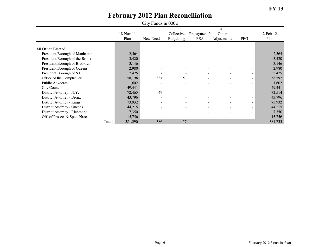|                                 | City Funds in 000's |                   |           |                          |                            |                             |                          |                        |  |  |
|---------------------------------|---------------------|-------------------|-----------|--------------------------|----------------------------|-----------------------------|--------------------------|------------------------|--|--|
|                                 |                     | 18-Nov-11<br>Plan | New Needs | Collective<br>Bargaining | Prepayment /<br><b>BSA</b> | All<br>Other<br>Adjustments | PEG                      | $2$ -Feb- $12$<br>Plan |  |  |
| <b>All Other Elected</b>        |                     |                   |           |                          |                            |                             |                          |                        |  |  |
| President, Borough of Manhattan |                     | 2,564             |           |                          |                            |                             |                          | 2,564                  |  |  |
| President, Borough of the Bronx |                     | 3,420             |           |                          |                            |                             | Ξ.                       | 3,420                  |  |  |
| President, Borough of Brooklyn  |                     | 3,146             |           |                          |                            | $\overline{\phantom{m}}$    | Ξ.                       | 3,146                  |  |  |
| President, Borough of Queens    |                     | 2,980             |           | $\overline{\phantom{a}}$ | $\overline{\phantom{0}}$   | $\sim$                      | $\sim$                   | 2,980                  |  |  |
| President, Borough of S.I.      |                     | 2,425             |           | $\overline{\phantom{a}}$ | $\sim$                     | $\overline{\phantom{a}}$    | Ξ.                       | 2,425                  |  |  |
| Office of the Comptroller       |                     | 58,198            | 337       | 57                       | $\overline{\phantom{0}}$   | $\blacksquare$              | Ξ.                       | 58,592                 |  |  |
| Public Advocate                 |                     | 1,602             |           |                          |                            | $\blacksquare$              | ۰                        | 1,602                  |  |  |
| City Council                    |                     | 49,441            |           | $\overline{\phantom{0}}$ | $\overline{\phantom{0}}$   | $\blacksquare$              | ۰                        | 49,441                 |  |  |
| District Attorney - N.Y.        |                     | 72,465            | 49        |                          | $\overline{\phantom{a}}$   |                             | $\overline{\phantom{0}}$ | 72,514                 |  |  |
| District Attorney - Bronx       |                     | 43,796            |           | $\overline{\phantom{0}}$ | $\overline{\phantom{0}}$   | $\overline{\phantom{a}}$    | ۰                        | 43,796                 |  |  |
|                                 |                     |                   |           |                          |                            |                             |                          | 73,932                 |  |  |
| District Attorney - Kings       |                     | 73,932            |           | $\overline{\phantom{a}}$ | $\overline{\phantom{a}}$   | $\sim$                      | Ξ.                       |                        |  |  |
| District Attorney - Queens      |                     | 44,215            |           | $\overline{\phantom{a}}$ | $\sim$                     | $\overline{\phantom{a}}$    | Ξ.                       | 44,215                 |  |  |
| District Attorney - Richmond    |                     | 7,350             |           | $\overline{\phantom{a}}$ | $\overline{\phantom{0}}$   | $\blacksquare$              | Ξ.                       | 7,350                  |  |  |
| Off. of Prosec. & Spec. Narc.   |                     | 15,756            |           |                          |                            | $\blacksquare$              | Ξ.                       | 15,756                 |  |  |
|                                 | <b>Total</b>        | 381,290           | 386       | 57                       |                            |                             |                          | 381,733                |  |  |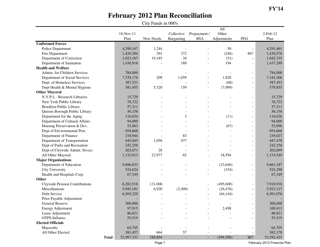#### **FY'14**

### **February 2012 Plan Reconciliation**

|                                |              | City Funds in 000's |           |                          |                            |                             |                          |                        |  |  |  |  |
|--------------------------------|--------------|---------------------|-----------|--------------------------|----------------------------|-----------------------------|--------------------------|------------------------|--|--|--|--|
|                                |              | 18-Nov-11<br>Plan   | New Needs | Collective<br>Bargaining | Prepayment /<br><b>BSA</b> | All<br>Other<br>Adjustments | <b>PEG</b>               | $2$ -Feb- $12$<br>Plan |  |  |  |  |
| <b>Uniformed Forces</b>        |              |                     |           |                          |                            |                             |                          |                        |  |  |  |  |
| Police Department              |              | 4,290,167           | 1,244     |                          |                            | 50                          |                          | 4,291,461              |  |  |  |  |
| Fire Department                |              | 1,429,294           | 291       | 372                      |                            | (248)                       | 867                      | 1,430,576              |  |  |  |  |
| Department of Correction       |              | 1,023,167           | 19,185    | 34                       |                            | (51)                        | $\overline{a}$           | 1,042,335              |  |  |  |  |
| Department of Sanitation       |              | 1,436,916           |           | 189                      |                            | 194                         | $\overline{a}$           | 1,437,299              |  |  |  |  |
| <b>Health and Welfare</b>      |              |                     |           |                          |                            |                             |                          |                        |  |  |  |  |
| Admin. for Children Services   |              | 784,000             |           |                          |                            |                             |                          | 784,000                |  |  |  |  |
| Department of Social Services  |              | 7,339,178           | 209       | 1,059                    |                            | 1,820                       | $\overline{\phantom{a}}$ | 7,342,266              |  |  |  |  |
| Dept. of Homeless Services     |              | 387,521             |           |                          | $\overline{a}$             | (68)                        | $\overline{\phantom{a}}$ | 387,453                |  |  |  |  |
| Dept Health & Mental Hygiene   |              | 581,455             | 5,320     | 159                      | $\blacksquare$             | (7,099)                     | $\overline{\phantom{a}}$ | 579,835                |  |  |  |  |
| <b>Other Mayoral</b>           |              |                     |           |                          |                            |                             |                          |                        |  |  |  |  |
| N.Y.P.L.- Research Libraries   |              | 15,729              |           |                          |                            |                             |                          | 15,729                 |  |  |  |  |
| New York Public Library        |              | 76,722              |           |                          |                            |                             | $\overline{a}$           | 76,722                 |  |  |  |  |
| <b>Brooklyn Public Library</b> |              | 57,311              |           |                          |                            |                             | $\overline{a}$           | 57,311                 |  |  |  |  |
| Queens Borough Public Library  |              | 56,158              |           |                          |                            |                             | $\overline{\phantom{a}}$ | 56,158                 |  |  |  |  |
| Department for the Aging       |              | 116,034             |           | 3                        |                            | (11)                        | $\blacksquare$           | 116,026                |  |  |  |  |
| Department of Cultural Affairs |              | 94,000              |           |                          |                            |                             | $\overline{\phantom{a}}$ | 94,000                 |  |  |  |  |
| Housing Preservation & Dev.    |              | 53,063              |           |                          |                            | (67)                        |                          | 52,996                 |  |  |  |  |
| Dept of Environmental Prot.    |              | 954,666             |           |                          |                            |                             | $\blacksquare$           | 954,666                |  |  |  |  |
| Department of Finance          |              | 218,944             |           | 83                       |                            |                             | $\overline{a}$           | 219,027                |  |  |  |  |
| Department of Transportation   |              | 445,945             | 1,056     | 477                      |                            |                             | $\blacksquare$           | 447,478                |  |  |  |  |
| Dept of Parks and Recreation   |              | 242,256             |           |                          |                            |                             | $\overline{a}$           | 242,256                |  |  |  |  |
| Dept of Citywide Admin. Srvces |              | 202,671             | 28        |                          |                            |                             | $\overline{a}$           | 202,699                |  |  |  |  |
| All Other Mayoral              |              | 1,132,913           | 22,977    | 65                       | $\blacksquare$             | 18,594                      | $\overline{\phantom{m}}$ | 1,174,549              |  |  |  |  |
| <b>Major Organizations</b>     |              |                     |           |                          |                            |                             |                          |                        |  |  |  |  |
| Department of Education        |              | 9,686,833           |           |                          |                            | (23, 646)                   | $\overline{a}$           | 9,663,187              |  |  |  |  |
| <b>City University</b>         |              | 524,624             |           |                          |                            | (334)                       | $\blacksquare$           | 524,290                |  |  |  |  |
| Health and Hospitals Corp.     |              | 67,349              |           |                          |                            |                             | $\blacksquare$           | 67,349                 |  |  |  |  |
| Other                          |              |                     |           |                          |                            |                             |                          |                        |  |  |  |  |
| Citywide Pension Contributions |              | 8,283,518           | 131,000   |                          |                            | (495,600)                   | $\overline{\phantom{m}}$ | 7,918,918              |  |  |  |  |
| Miscellaneous                  |              | 5,945,181           | 6,920     | (2, 498)                 |                            | (26, 476)                   | $\overline{\phantom{a}}$ | 5,923,127              |  |  |  |  |
| Debt Service                   |              | 6,565,220           |           |                          |                            | (64, 144)                   | $\overline{\phantom{m}}$ | 6,501,076              |  |  |  |  |
| Prior Payable Adjustment       |              |                     |           |                          | $\blacksquare$             |                             | $\blacksquare$           |                        |  |  |  |  |
| <b>General Reserve</b>         |              | 300,000             |           |                          |                            |                             |                          | 300,000                |  |  |  |  |
| <b>Energy Adjustment</b>       |              | 97,915              |           |                          |                            | 2,498                       |                          | 100,413                |  |  |  |  |
| Lease Adjustment               |              | 86,821              |           |                          |                            |                             |                          | 86,821                 |  |  |  |  |
| <b>OTPS</b> Inflators          |              | 55,519              |           |                          |                            |                             |                          | 55,519                 |  |  |  |  |
| <b>Elected Officials</b>       |              |                     |           |                          |                            |                             |                          |                        |  |  |  |  |
| Mayoralty                      |              | 64,705              |           | $\overline{a}$           |                            |                             |                          | 64,705                 |  |  |  |  |
| All Other Elected              |              | 381,457             | 664       | 57                       |                            |                             | $\frac{1}{2}$            | 382,178                |  |  |  |  |
|                                | <b>Total</b> | 52,997,252          | 188,894   | $\overline{\phantom{a}}$ | $\overline{\phantom{a}}$   | (594, 588)                  | 867                      | 52,592,425             |  |  |  |  |

February 2012 Financial Plan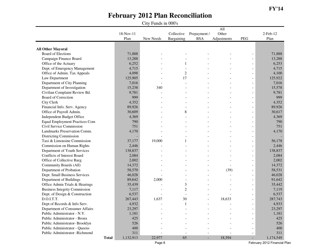|                                       |           |           |                |                          | $\overline{All}$ |                          |                |
|---------------------------------------|-----------|-----------|----------------|--------------------------|------------------|--------------------------|----------------|
|                                       | 18-Nov-11 |           | Collective     | Prepayment /             | Other            |                          | $2$ -Feb- $12$ |
|                                       | Plan      | New Needs | Bargaining     | <b>BSA</b>               | Adjustments      | PEG                      | Plan           |
|                                       |           |           |                |                          |                  |                          |                |
| <b>All Other Mayoral</b>              |           |           |                |                          |                  |                          |                |
| <b>Board of Elections</b>             | 71,888    |           |                |                          |                  |                          | 71,888         |
| Campaign Finance Board                | 13,288    |           |                |                          |                  |                          | 13,288         |
| Office of the Actuary                 | 6,252     |           | 1              |                          |                  |                          | 6,253          |
| Dept. of Emergency Management         | 4,715     |           |                |                          |                  | $\overline{\phantom{a}}$ | 4,715          |
| Office of Admin. Tax Appeals          | 4,098     |           | $\overline{2}$ |                          |                  | $\overline{\phantom{a}}$ | 4,100          |
| Law Department                        | 125,905   |           | 17             |                          |                  | $\overline{\phantom{a}}$ | 125,922        |
| Department of City Planning           | 7,016     |           |                |                          |                  | $\overline{\phantom{a}}$ | 7,016          |
| Department of Investigation           | 15,238    | 340       |                |                          |                  | $\overline{\phantom{a}}$ | 15,578         |
| Civilian Complaint Review Bd.         | 9,781     |           |                |                          |                  |                          | 9,781          |
| <b>Board of Correction</b>            | 999       |           |                |                          |                  |                          | 999            |
| <b>City Clerk</b>                     | 4,352     |           |                |                          |                  | $\overline{\phantom{a}}$ | 4,352          |
| Financial Info. Serv. Agency          | 89,926    |           |                |                          |                  |                          | 89,926         |
| Office of Payroll Admin.              | 30,609    |           | 8              |                          |                  | $\overline{\phantom{a}}$ | 30,617         |
| Independent Budget Office             | 4,369     |           |                |                          |                  | $\overline{\phantom{a}}$ | 4,369          |
| <b>Equal Employment Practices Com</b> | 790       |           |                |                          |                  |                          | 790            |
| Civil Service Commission              | 751       |           |                |                          |                  |                          | 751            |
| Landmarks Preservation Comm.          | 4,170     |           |                |                          |                  |                          | 4,170          |
| Districting Commission                |           |           |                |                          |                  |                          |                |
| Taxi & Limousine Commission           | 37,177    | 19,000    |                |                          |                  |                          | 56,178         |
| Commission on Human Rights            | 2,446     |           |                |                          |                  | $\overline{\phantom{a}}$ | 2,446          |
| Department of Youth Services          | 138,837   |           |                |                          |                  | $\overline{\phantom{a}}$ | 138,837        |
| Conflicts of Interest Board           | 2,084     |           |                |                          |                  |                          | 2,084          |
| Office of Collective Barg.            | 2,002     |           |                |                          |                  | $\overline{\phantom{a}}$ | 2,002          |
| Community Boards (All)                | 14,372    |           |                |                          |                  |                          | 14,372         |
| Department of Probation               | 58,570    |           |                |                          | (39)             | $\overline{\phantom{a}}$ | 58,531         |
| Dept. Small Business Services         | 46,028    |           |                |                          |                  | $\overline{\phantom{a}}$ | 46,028         |
| Department of Buildings               | 89,642    | 2,000     |                |                          |                  | $\blacksquare$           | 91,642         |
| Office Admin Trials & Hearings        | 35,439    |           | 3              |                          |                  | $\overline{\phantom{a}}$ | 35,442         |
| <b>Business Integrity Commission</b>  | 7,117     |           | $\overline{c}$ |                          |                  | $\overline{\phantom{a}}$ | 7,119          |
| Dept. of Design & Construction        | 6,537     |           | $\overline{a}$ |                          |                  | $\blacksquare$           | 6,537          |
| D.O.I.T.T.                            | 267,443   | 1,637     | 30             | $\overline{\phantom{a}}$ | 18,633           | $\overline{\phantom{a}}$ | 287,743        |
| Dept of Records & Info Serv.          | 4,932     |           | 1              |                          |                  | $\overline{\phantom{a}}$ | 4,933          |
| Department of Consumer Affairs        | 23,297    |           |                |                          |                  |                          | 23,297         |
| Public Administrator - N.Y.           | 1,181     |           |                |                          |                  |                          | 1,181          |
| Public Administrator - Bronx          | 425       |           |                |                          |                  |                          | 425            |
| Public Administrator-Brooklyn         | 526       |           |                |                          |                  |                          | 526            |
| Public Administrator - Queens         | 400       |           |                |                          |                  |                          | 400            |
| Public Administrator -Richmond        | 311       |           |                |                          |                  |                          | 311            |
| <b>Total</b>                          | 1,132,913 | 22,977    | 65             | $\overline{\phantom{a}}$ | 18,594           | ٠                        | 1,174,549      |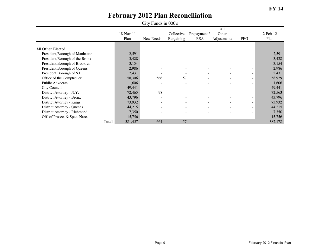| City Funds in 000's             |       |                   |                          |                          |                            |                             |                          |                        |  |
|---------------------------------|-------|-------------------|--------------------------|--------------------------|----------------------------|-----------------------------|--------------------------|------------------------|--|
|                                 |       | 18-Nov-11<br>Plan | New Needs                | Collective<br>Bargaining | Prepayment /<br><b>BSA</b> | All<br>Other<br>Adjustments | PEG                      | $2$ -Feb- $12$<br>Plan |  |
| <b>All Other Elected</b>        |       |                   |                          |                          |                            |                             |                          |                        |  |
| President, Borough of Manhattan |       | 2,591             |                          |                          |                            |                             |                          | 2,591                  |  |
| President, Borough of the Bronx |       | 3,428             |                          |                          |                            | $\overline{\phantom{a}}$    |                          | 3,428                  |  |
| President, Borough of Brooklyn  |       | 3,154             |                          |                          |                            | $\blacksquare$              |                          | 3,154                  |  |
| President, Borough of Queens    |       | 2,986             |                          | $\sim$                   |                            | $\blacksquare$              | $\sim$                   | 2,986                  |  |
| President, Borough of S.I.      |       | 2,431             |                          | $\overline{\phantom{0}}$ |                            | ۰                           |                          | 2,431                  |  |
| Office of the Comptroller       |       | 58,306            | 566                      | 57                       |                            |                             |                          | 58,929                 |  |
| Public Advocate                 |       | 1,606             |                          | $\overline{\phantom{a}}$ |                            |                             |                          | 1,606                  |  |
| City Council                    |       | 49,441            |                          | $\overline{\phantom{a}}$ | $\sim$                     | $\overline{\phantom{a}}$    | $\sim$                   | 49,441                 |  |
| District Attorney - N.Y.        |       | 72,465            | 98                       |                          |                            | ۰                           |                          | 72,563                 |  |
| District Attorney - Bronx       |       | 43,796            |                          |                          |                            | ۰                           |                          | 43,796                 |  |
| District Attorney - Kings       |       | 73,932            |                          |                          |                            | $\overline{\phantom{a}}$    |                          | 73,932                 |  |
| District Attorney - Queens      |       | 44,215            | $\overline{\phantom{a}}$ | $\overline{\phantom{a}}$ | $\overline{\phantom{a}}$   | ۰.                          | $\overline{\phantom{a}}$ | 44,215                 |  |
| District Attorney - Richmond    |       | 7,350             |                          | $\overline{\phantom{a}}$ |                            | $\overline{\phantom{a}}$    | $\overline{\phantom{a}}$ | 7,350                  |  |
| Off. of Prosec. & Spec. Narc.   |       | 15,756            |                          |                          |                            |                             | $\overline{\phantom{a}}$ | 15,756                 |  |
|                                 | Total | 381,457           | 664                      | 57                       |                            |                             |                          | 382,178                |  |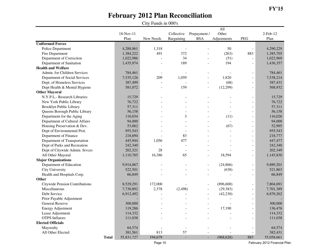|                                       |              |                   | City Funds in 000's |                          |                            |                             |                          |                        |
|---------------------------------------|--------------|-------------------|---------------------|--------------------------|----------------------------|-----------------------------|--------------------------|------------------------|
|                                       |              | 18-Nov-11<br>Plan | New Needs           | Collective<br>Bargaining | Prepayment /<br><b>BSA</b> | All<br>Other<br>Adjustments | <b>PEG</b>               | $2$ -Feb- $12$<br>Plan |
| <b>Uniformed Forces</b>               |              |                   |                     |                          |                            |                             |                          |                        |
| Police Department                     |              | 4,288,861         | 1,318               |                          |                            | 50                          | $\overline{a}$           | 4,290,229              |
| Fire Department                       |              | 1,384,222         | 491                 | 372                      |                            | (263)                       | 883                      | 1,385,705              |
| Department of Correction              |              | 1,022,986         |                     | 34                       | $\overline{a}$             | (51)                        | $\overline{a}$           | 1,022,969              |
| Department of Sanitation              |              | 1,435,974         |                     | 189                      | $\overline{a}$             | 194                         | $\overline{a}$           | 1,436,357              |
| <b>Health and Welfare</b>             |              |                   |                     |                          |                            |                             |                          |                        |
| Admin. for Children Services          |              | 784,461           |                     |                          |                            |                             | $\overline{\phantom{0}}$ | 784,461                |
| Department of Social Services         |              | 7,535,126         | 209                 | 1,059                    | $\overline{a}$             | 1,820                       | $\overline{a}$           | 7,538,214              |
| Dept. of Homeless Services            |              | 387,499           |                     |                          | $\overline{a}$             | (68)                        | $\overline{\phantom{a}}$ | 387,431                |
| Dept Health & Mental Hygiene          |              | 581,072           |                     | 159                      | $\overline{\phantom{a}}$   | (12, 299)                   | $\overline{a}$           | 568,932                |
| <b>Other Mayoral</b>                  |              |                   |                     |                          |                            |                             |                          |                        |
| N.Y.P.L.- Research Libraries          |              | 15,729            |                     |                          |                            |                             | $\blacksquare$           | 15,729                 |
| New York Public Library               |              | 76,722            |                     |                          |                            |                             | $\overline{a}$           | 76,722                 |
| Brooklyn Public Library               |              | 57,311            |                     |                          |                            |                             | $\overline{a}$           | 57,311                 |
| Queens Borough Public Library         |              | 56,158            |                     |                          |                            |                             | $\overline{a}$           | 56,158                 |
| Department for the Aging              |              | 116,034           |                     | 3                        |                            | (11)                        | $\overline{a}$           | 116,026                |
| Department of Cultural Affairs        |              | 94,000            |                     |                          |                            |                             | $\overline{\phantom{a}}$ | 94,000                 |
| Housing Preservation & Dev.           |              | 53,062            |                     |                          |                            | (67)                        | $\overline{a}$           | 52,995                 |
| Dept of Environmental Prot.           |              | 955,543           |                     |                          |                            |                             | $\overline{a}$           | 955,543                |
| Department of Finance                 |              | 218,694           |                     | 83                       |                            |                             | $\overline{\phantom{a}}$ | 218,777                |
| Department of Transportation          |              | 445,944           | 1,056               | 477                      |                            |                             | $\overline{a}$           | 447,477                |
| Dept of Parks and Recreation          |              | 242,340           |                     |                          |                            |                             | $\overline{a}$           | 242,340                |
| Dept of Citywide Admin. Srvces        |              | 202,321           | 28                  |                          |                            |                             | $\overline{a}$           | 202,349                |
| All Other Mayoral                     |              | 1,110,785         | 16,386              | 65                       | $\blacksquare$             | 18,594                      | $\overline{a}$           | 1,145,830              |
| <b>Major Organizations</b>            |              |                   |                     |                          |                            |                             |                          |                        |
| Department of Education               |              | 9,914,067         |                     |                          |                            | (24, 866)                   | $\overline{a}$           | 9,889,201              |
| <b>City University</b>                |              | 522,501           |                     |                          | $\overline{a}$             | (638)                       | $\overline{\phantom{a}}$ | 521,863                |
| Health and Hospitals Corp.            |              | 66,849            |                     |                          |                            |                             | $\overline{a}$           | 66,849                 |
| Other                                 |              |                   |                     |                          |                            |                             |                          |                        |
| <b>Citywide Pension Contributions</b> |              | 8,529,291         | 172,000             |                          |                            | (896, 600)                  | $\overline{a}$           | 7,804,691              |
| Miscellaneous                         |              | 7,730,892         | 2,378               | (2, 498)                 | $\blacksquare$             | (29, 383)                   | $\overline{\phantom{a}}$ | 7,701,389              |
| Debt Service                          |              | 6,912,492         |                     |                          |                            | (42, 230)                   | $\overline{a}$           | 6,870,262              |
| Prior Payable Adjustment              |              |                   |                     |                          | $\overline{\phantom{a}}$   | $\overline{a}$              | $\overline{\phantom{a}}$ |                        |
| <b>General Reserve</b>                |              | 300,000           |                     |                          |                            | $\overline{\phantom{a}}$    | $\overline{\phantom{a}}$ | 300,000                |
| <b>Energy Adjustment</b>              |              | 119,286           |                     |                          |                            | 17,190                      |                          | 136,476                |
| Lease Adjustment                      |              | 114,332           |                     |                          |                            |                             | $\overline{\phantom{a}}$ | 114,332                |
| <b>OTPS</b> Inflators                 |              | 111,038           |                     |                          |                            |                             | $\overline{\phantom{a}}$ | 111,038                |
| <b>Elected Officials</b>              |              |                   |                     |                          |                            |                             |                          |                        |
| Mayoralty                             |              | 64,574            |                     | $\blacksquare$           |                            |                             | $\overline{\phantom{a}}$ | 64,574                 |
| All Other Elected                     |              | 381,561           | 813                 | 57                       |                            |                             | $\overline{\phantom{a}}$ | 382,431                |
|                                       | <b>Total</b> | 55,831,727        | 194,679             | $\overline{\phantom{a}}$ | $\blacksquare$             | (968, 628)                  | 883                      | 55,058,661             |

Page 10

February 2012 Financial Plan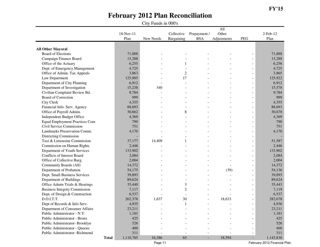|                                       |           |           |                |                          | $\overline{All}$ |                          |                |
|---------------------------------------|-----------|-----------|----------------|--------------------------|------------------|--------------------------|----------------|
|                                       | 18-Nov-11 |           | Collective     | Prepayment /             | Other            |                          | $2$ -Feb- $12$ |
|                                       | Plan      | New Needs | Bargaining     | <b>BSA</b>               | Adjustments      | PEG                      | Plan           |
|                                       |           |           |                |                          |                  |                          |                |
| <b>All Other Mayoral</b>              |           |           |                |                          |                  |                          |                |
| <b>Board of Elections</b>             | 71,888    |           |                |                          |                  |                          | 71,888         |
| Campaign Finance Board                | 13,288    |           |                |                          |                  |                          | 13,288         |
| Office of the Actuary                 | 6,255     |           | 1              |                          |                  |                          | 6,256          |
| Dept. of Emergency Management         | 4,725     |           |                |                          |                  | $\overline{\phantom{a}}$ | 4,725          |
| Office of Admin. Tax Appeals          | 3,863     |           | $\overline{2}$ |                          |                  | $\overline{\phantom{a}}$ | 3,865          |
| Law Department                        | 125,905   |           | 17             |                          |                  | $\overline{\phantom{a}}$ | 125,922        |
| Department of City Planning           | 6,912     |           |                |                          |                  | $\overline{\phantom{a}}$ | 6,912          |
| Department of Investigation           | 15,238    | 340       |                |                          |                  | $\overline{\phantom{a}}$ | 15,578         |
| Civilian Complaint Review Bd.         | 9,784     |           |                |                          |                  |                          | 9,784          |
| <b>Board of Correction</b>            | 999       |           |                |                          |                  |                          | 999            |
| <b>City Clerk</b>                     | 4,355     |           |                |                          |                  | $\overline{\phantom{a}}$ | 4,355          |
| Financial Info. Serv. Agency          | 88,693    |           |                |                          |                  | $\overline{\phantom{a}}$ | 88,693         |
| Office of Payroll Admin.              | 30,662    |           | 8              |                          |                  | $\overline{\phantom{a}}$ | 30,670         |
| Independent Budget Office             | 4,369     |           |                |                          |                  | $\overline{\phantom{a}}$ | 4,369          |
| <b>Equal Employment Practices Com</b> | 790       |           |                |                          |                  |                          | 790            |
| Civil Service Commission              | 751       |           |                |                          |                  |                          | 751            |
| Landmarks Preservation Comm.          | 4,170     |           |                |                          |                  |                          | 4,170          |
| Districting Commission                |           |           |                |                          |                  |                          |                |
| Taxi & Limousine Commission           | 37,177    | 14,409    |                |                          |                  |                          | 51,587         |
| Commission on Human Rights            | 2,446     |           |                |                          |                  | $\overline{\phantom{a}}$ | 2,446          |
| Department of Youth Services          | 133,902   |           |                |                          |                  | $\overline{\phantom{a}}$ | 133,902        |
| Conflicts of Interest Board           | 2,084     |           |                |                          |                  |                          | 2,084          |
| Office of Collective Barg.            | 2,004     |           |                |                          |                  | $\overline{\phantom{a}}$ | 2,004          |
| Community Boards (All)                | 14,372    |           |                |                          |                  |                          | 14,372         |
| Department of Probation               | 54,175    |           |                |                          | (39)             | $\overline{\phantom{a}}$ | 54,136         |
| Dept. Small Business Services         | 39,893    |           |                |                          |                  | $\overline{\phantom{a}}$ | 39,893         |
| Department of Buildings               | 89,624    |           |                |                          |                  | $\blacksquare$           | 89,624         |
| Office Admin Trials & Hearings        | 35,440    |           | 3              |                          |                  | $\overline{\phantom{a}}$ | 35,443         |
| <b>Business Integrity Commission</b>  | 7,117     |           | $\overline{c}$ |                          |                  | $\overline{\phantom{a}}$ | 7,119          |
| Dept. of Design & Construction        | 6,537     |           | $\overline{a}$ |                          |                  | $\blacksquare$           | 6,537          |
| D.O.I.T.T.                            | 262,378   | 1,637     | 30             | $\overline{\phantom{a}}$ | 18,633           | $\overline{\phantom{a}}$ | 282,678        |
| Dept of Records & Info Serv.          | 4,935     |           | 1              |                          |                  | $\overline{\phantom{a}}$ | 4,936          |
| Department of Consumer Affairs        | 23,211    |           |                |                          |                  |                          | 23,211         |
| Public Administrator - N.Y.           | 1,181     |           |                |                          |                  | $\overline{\phantom{a}}$ | 1,181          |
| Public Administrator - Bronx          | 425       |           |                |                          |                  |                          | 425            |
| Public Administrator-Brooklyn         | 526       |           |                |                          |                  |                          | 526            |
| Public Administrator - Queens         | 400       |           |                |                          |                  |                          | 400            |
| Public Administrator -Richmond        | 311       |           |                |                          |                  |                          | 311            |
| <b>Total</b>                          | 1,110,785 | 16,386    | 65             | $\overline{\phantom{a}}$ | 18,594           | ٠                        | 1,145,830      |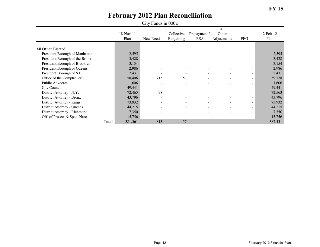| City Funds in 000's             |       |                   |                          |                          |                            |                             |                          |                        |  |
|---------------------------------|-------|-------------------|--------------------------|--------------------------|----------------------------|-----------------------------|--------------------------|------------------------|--|
|                                 |       | 18-Nov-11<br>Plan | New Needs                | Collective<br>Bargaining | Prepayment /<br><b>BSA</b> | All<br>Other<br>Adjustments | PEG                      | $2$ -Feb- $12$<br>Plan |  |
| <b>All Other Elected</b>        |       |                   |                          |                          |                            |                             |                          |                        |  |
| President, Borough of Manhattan |       | 2,595             |                          |                          |                            |                             |                          | 2,595                  |  |
| President, Borough of the Bronx |       | 3,428             |                          |                          |                            | $\overline{\phantom{a}}$    |                          | 3,428                  |  |
| President, Borough of Brooklyn  |       | 3,154             |                          |                          |                            | ۰                           |                          | 3,154                  |  |
| President, Borough of Queens    |       | 2,986             |                          | $\sim$                   |                            | $\blacksquare$              | $\sim$                   | 2,986                  |  |
| President, Borough of S.I.      |       | 2,431             |                          | $\overline{\phantom{0}}$ |                            | ۰                           |                          | 2,431                  |  |
| Office of the Comptroller       |       | 58,406            | 715                      | 57                       |                            |                             |                          | 59,178                 |  |
| Public Advocate                 |       | 1,606             |                          | $\overline{\phantom{a}}$ |                            |                             |                          | 1,606                  |  |
| City Council                    |       | 49,441            |                          | $\overline{\phantom{a}}$ | $\sim$                     | $\overline{\phantom{a}}$    | $\overline{\phantom{a}}$ | 49,441                 |  |
| District Attorney - N.Y.        |       | 72,465            | 98                       |                          |                            | $\overline{\phantom{0}}$    |                          | 72,563                 |  |
| District Attorney - Bronx       |       | 43,796            |                          |                          |                            | ۰                           |                          | 43,796                 |  |
| District Attorney - Kings       |       | 73,932            |                          |                          |                            | $\overline{\phantom{a}}$    |                          | 73,932                 |  |
| District Attorney - Queens      |       | 44,215            | $\overline{\phantom{a}}$ | $\overline{\phantom{a}}$ | -                          | ۰.                          | $\overline{\phantom{a}}$ | 44,215                 |  |
| District Attorney - Richmond    |       | 7,350             |                          | $\overline{\phantom{a}}$ |                            | $\overline{\phantom{a}}$    | $\overline{\phantom{a}}$ | 7,350                  |  |
| Off. of Prosec. & Spec. Narc.   |       | 15,756            |                          |                          |                            |                             | $\overline{\phantom{a}}$ | 15,756                 |  |
|                                 | Total | 381,561           | 813                      | 57                       |                            |                             |                          | 382,431                |  |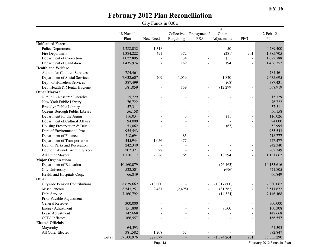|                                |                   | City Funds in 000's |                          |                            |                             |                          |                        |
|--------------------------------|-------------------|---------------------|--------------------------|----------------------------|-----------------------------|--------------------------|------------------------|
|                                | 18-Nov-11<br>Plan | New Needs           | Collective<br>Bargaining | Prepayment /<br><b>BSA</b> | All<br>Other<br>Adjustments | PEG                      | $2$ -Feb- $12$<br>Plan |
| <b>Uniformed Forces</b>        |                   |                     |                          |                            |                             |                          |                        |
| Police Department              | 4,288,032         | 1,318               |                          |                            | 50                          |                          | 4,289,400              |
| Fire Department                | 1,384,222         | 491                 | 372                      |                            | (281)                       | 901                      | 1,385,705              |
| Department of Correction       | 1,022,805         |                     | 34                       |                            | (51)                        | $\overline{a}$           | 1,022,788              |
| Department of Sanitation       | 1,435,974         |                     | 189                      | $\overline{a}$             | 194                         | $\overline{\phantom{m}}$ | 1,436,357              |
| <b>Health and Welfare</b>      |                   |                     |                          |                            |                             |                          |                        |
| Admin. for Children Services   | 784,461           |                     |                          |                            |                             |                          | 784,461                |
| Department of Social Services  | 7,632,607         | 209                 | 1,059                    |                            | 1,820                       | $\frac{1}{2}$            | 7,635,695              |
| Dept. of Homeless Services     | 387,499           |                     |                          | $\overline{a}$             | (68)                        | $\overline{\phantom{a}}$ | 387,431                |
| Dept Health & Mental Hygiene   | 581,059           |                     | 159                      | $\overline{\phantom{a}}$   | (12,299)                    | $\overline{\phantom{a}}$ | 568,919                |
| <b>Other Mayoral</b>           |                   |                     |                          |                            |                             |                          |                        |
| N.Y.P.L.- Research Libraries   | 15,729            |                     |                          |                            |                             |                          | 15,729                 |
| New York Public Library        | 76,722            |                     |                          |                            |                             | $\blacksquare$           | 76,722                 |
| Brooklyn Public Library        | 57,311            |                     |                          |                            |                             | $\overline{a}$           | 57,311                 |
| Queens Borough Public Library  | 56,158            |                     |                          |                            |                             | $\blacksquare$           | 56,158                 |
| Department for the Aging       | 116,034           |                     | 3                        |                            | (11)                        | $\overline{a}$           | 116,026                |
| Department of Cultural Affairs | 94,000            |                     |                          |                            |                             | $\overline{\phantom{a}}$ | 94,000                 |
| Housing Preservation & Dev.    | 53,062            |                     |                          |                            | (67)                        | $\overline{a}$           | 52,995                 |
| Dept of Environmental Prot.    | 955,543           |                     |                          |                            |                             | $\blacksquare$           | 955,543                |
| Department of Finance          | 218,694           |                     | 83                       |                            |                             | $\overline{a}$           | 218,777                |
| Department of Transportation   | 445,944           | 1,056               | 477                      |                            |                             | $\blacksquare$           | 447,477                |
| Dept of Parks and Recreation   | 242,340           |                     |                          |                            |                             | $\overline{a}$           | 242,340                |
| Dept of Citywide Admin. Srvces | 202,321           | 28                  |                          |                            |                             | $\overline{a}$           | 202,349                |
| All Other Mayoral              | 1,110,117         | 2,886               | 65                       | $\overline{a}$             | 18,594                      | $\overline{\phantom{m}}$ | 1,131,662              |
| <b>Major Organizations</b>     |                   |                     |                          |                            |                             |                          |                        |
| Department of Education        | 10,160,079        |                     |                          |                            | (26, 463)                   | $\blacksquare$           | 10,133,616             |
| City University                | 522,501           |                     |                          |                            | (696)                       | $\overline{\phantom{a}}$ | 521,805                |
| Health and Hospitals Corp.     | 66,849            |                     |                          |                            |                             | $\overline{a}$           | 66,849                 |
| Other                          |                   |                     |                          |                            |                             |                          |                        |
| Citywide Pension Contributions | 8,679,662         | 218,000             |                          |                            | (1,017,600)                 | $\overline{\phantom{m}}$ | 7,880,062              |
| Miscellaneous                  | 8,543,251         | 2,481               | (2, 498)                 |                            | (31,562)                    | $\overline{a}$           | 8,511,672              |
| Debt Service                   | 7,160,792         |                     |                          |                            | (14, 324)                   | $\overline{\phantom{m}}$ | 7,146,468              |
| Prior Payable Adjustment       |                   |                     |                          | $\overline{\phantom{a}}$   |                             | $\blacksquare$           |                        |
| <b>General Reserve</b>         | 300,000           |                     |                          |                            |                             | $\overline{\phantom{m}}$ | 300,000                |
| <b>Energy Adjustment</b>       | 151,808           |                     |                          |                            | 8,500                       |                          | 160,308                |
| Lease Adjustment               | 142,668           |                     |                          |                            |                             | $\overline{\phantom{m}}$ | 142,668                |
| <b>OTPS</b> Inflators          | 166,557           |                     |                          |                            |                             | $\blacksquare$           | 166,557                |
| <b>Elected Officials</b>       |                   |                     |                          |                            |                             |                          |                        |
| Mayoralty                      | 64,593            |                     | $\blacksquare$           |                            |                             |                          | 64,593                 |
| All Other Elected              | 381,582           | 1,208               | 57                       |                            |                             | $\overline{\phantom{a}}$ | 382,847                |
| <b>Total</b>                   | 57,500,976        | 227,677             | $\overline{\phantom{a}}$ |                            | (1,074,264)                 | 901                      | 56,655,290             |

Page 13

February 2012 Financial Plan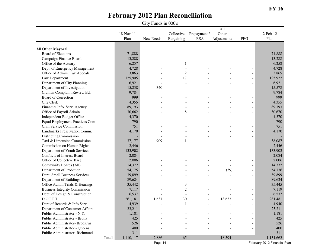|                                       |           |           |                |                          | $\overline{All}$ |                          |                |
|---------------------------------------|-----------|-----------|----------------|--------------------------|------------------|--------------------------|----------------|
|                                       | 18-Nov-11 |           | Collective     | Prepayment /             | Other            |                          | $2$ -Feb- $12$ |
|                                       | Plan      | New Needs | Bargaining     | <b>BSA</b>               | Adjustments      | PEG                      | Plan           |
|                                       |           |           |                |                          |                  |                          |                |
| <b>All Other Mayoral</b>              |           |           |                |                          |                  |                          |                |
| <b>Board of Elections</b>             | 71,888    |           |                |                          |                  |                          | 71,888         |
| Campaign Finance Board                | 13,288    |           |                |                          |                  |                          | 13,288         |
| Office of the Actuary                 | 6,257     |           | 1              |                          |                  |                          | 6,258          |
| Dept. of Emergency Management         | 4,728     |           |                |                          |                  | $\overline{\phantom{a}}$ | 4,728          |
| Office of Admin. Tax Appeals          | 3,863     |           | $\overline{2}$ |                          |                  | $\overline{\phantom{a}}$ | 3,865          |
| Law Department                        | 125,905   |           | 17             |                          |                  | $\overline{\phantom{a}}$ | 125,922        |
| Department of City Planning           | 6,921     |           |                |                          |                  | $\overline{\phantom{a}}$ | 6,921          |
| Department of Investigation           | 15,238    | 340       |                |                          |                  | $\overline{\phantom{a}}$ | 15,578         |
| Civilian Complaint Review Bd.         | 9,784     |           |                |                          |                  |                          | 9,784          |
| <b>Board of Correction</b>            | 999       |           |                |                          |                  |                          | 999            |
| <b>City Clerk</b>                     | 4,355     |           |                |                          |                  | $\overline{\phantom{a}}$ | 4,355          |
| Financial Info. Serv. Agency          | 89,193    |           |                |                          |                  | $\overline{\phantom{a}}$ | 89,193         |
| Office of Payroll Admin.              | 30,662    |           | 8              |                          |                  | $\overline{\phantom{a}}$ | 30,670         |
| Independent Budget Office             | 4,370     |           |                |                          |                  | $\overline{\phantom{a}}$ | 4,370          |
| <b>Equal Employment Practices Com</b> | 790       |           |                |                          |                  |                          | 790            |
| Civil Service Commission              | 751       |           |                |                          |                  |                          | 751            |
| Landmarks Preservation Comm.          | 4,170     |           |                |                          |                  |                          | 4,170          |
| Districting Commission                |           |           |                |                          |                  |                          |                |
| Taxi & Limousine Commission           | 37,177    | 909       |                |                          |                  |                          | 38,087         |
| Commission on Human Rights            | 2,446     |           |                |                          |                  | $\overline{\phantom{a}}$ | 2,446          |
| Department of Youth Services          | 133,902   |           |                |                          |                  | $\overline{\phantom{a}}$ | 133,902        |
| Conflicts of Interest Board           | 2,084     |           |                |                          |                  |                          | 2,084          |
| Office of Collective Barg.            | 2,006     |           |                |                          |                  | $\overline{\phantom{a}}$ | 2,006          |
| Community Boards (All)                | 14,372    |           |                |                          |                  |                          | 14,372         |
| Department of Probation               | 54,175    |           |                |                          | (39)             | $\overline{\phantom{a}}$ | 54,136         |
| Dept. Small Business Services         | 39,899    |           |                |                          |                  | $\overline{\phantom{a}}$ | 39,899         |
| Department of Buildings               | 89,624    |           |                |                          |                  | $\blacksquare$           | 89,624         |
| Office Admin Trials & Hearings        | 35,442    |           | 3              |                          |                  | $\overline{\phantom{a}}$ | 35,445         |
| <b>Business Integrity Commission</b>  | 7,117     |           | $\overline{c}$ |                          |                  | $\overline{\phantom{a}}$ | 7,119          |
| Dept. of Design & Construction        | 6,537     |           | $\overline{a}$ |                          |                  | $\blacksquare$           | 6,537          |
| D.O.I.T.T.                            | 261,181   | 1,637     | 30             | $\overline{\phantom{a}}$ | 18,633           | $\overline{\phantom{a}}$ | 281,481        |
| Dept of Records & Info Serv.          | 4,939     |           | 1              |                          |                  | $\overline{\phantom{a}}$ | 4,940          |
| Department of Consumer Affairs        | 23,211    |           |                |                          |                  |                          | 23,211         |
| Public Administrator - N.Y.           | 1,181     |           |                |                          |                  | $\blacksquare$           | 1,181          |
| Public Administrator - Bronx          | 425       |           |                |                          |                  | $\overline{\phantom{a}}$ | 425            |
| Public Administrator-Brooklyn         | 526       |           |                |                          |                  | $\overline{\phantom{a}}$ | 526            |
| Public Administrator - Queens         | 400       |           |                |                          |                  | $\overline{\phantom{a}}$ | 400            |
| Public Administrator -Richmond        | 311       |           |                |                          |                  |                          | 311            |
| <b>Total</b>                          | 1,110,117 | 2,886     | 65             | $\blacksquare$           | 18,594           | ٠                        | 1,131,662      |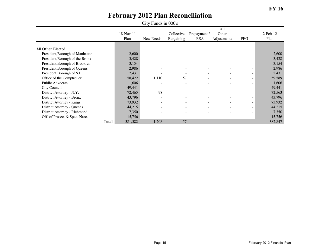| City Funds in 000's             |              |                   |           |                          |                            |                             |                          |                        |
|---------------------------------|--------------|-------------------|-----------|--------------------------|----------------------------|-----------------------------|--------------------------|------------------------|
|                                 |              | 18-Nov-11<br>Plan | New Needs | Collective<br>Bargaining | Prepayment /<br><b>BSA</b> | All<br>Other<br>Adjustments | PEG                      | $2$ -Feb- $12$<br>Plan |
| <b>All Other Elected</b>        |              |                   |           |                          |                            |                             |                          |                        |
| President, Borough of Manhattan |              | 2,600             |           |                          |                            |                             |                          | 2,600                  |
| President, Borough of the Bronx |              | 3,428             |           |                          |                            |                             | Ξ.                       | 3,428                  |
| President, Borough of Brooklyn  |              | 3,154             |           |                          |                            | $\overline{\phantom{m}}$    | Ξ.                       | 3,154                  |
| President, Borough of Queens    |              | 2,986             |           | $\overline{\phantom{a}}$ | $\overline{\phantom{0}}$   | $\sim$                      | Ξ.                       | 2,986                  |
| President, Borough of S.I.      |              | 2,431             |           | $\overline{\phantom{a}}$ | $\overline{\phantom{0}}$   | $\overline{\phantom{a}}$    | Ξ.                       | 2,431                  |
| Office of the Comptroller       |              | 58,422            | 1,110     | 57                       |                            | $\blacksquare$              | Ξ.                       | 59,589                 |
| Public Advocate                 |              | 1,606             |           |                          |                            | $\blacksquare$              | ۰                        | 1,606                  |
| City Council                    |              | 49,441            |           | -                        | $\overline{\phantom{0}}$   | $\blacksquare$              | ۰                        | 49,441                 |
| District Attorney - N.Y.        |              | 72,465            | 98        |                          | $\overline{\phantom{a}}$   |                             | $\overline{\phantom{0}}$ | 72,563                 |
| District Attorney - Bronx       |              | 43,796            |           | -                        | $\overline{\phantom{0}}$   | $\overline{\phantom{a}}$    | ۰                        | 43,796                 |
| District Attorney - Kings       |              | 73,932            |           | $\overline{\phantom{0}}$ | $\overline{\phantom{a}}$   | $\sim$                      | Ξ.                       | 73,932                 |
| District Attorney - Queens      |              | 44,215            |           | $\overline{\phantom{a}}$ | $\sim$                     | $\overline{\phantom{a}}$    | Ξ.                       | 44,215                 |
| District Attorney - Richmond    |              | 7,350             |           | $\overline{\phantom{a}}$ | $\overline{\phantom{0}}$   | $\blacksquare$              | Ξ.                       | 7,350                  |
| Off. of Prosec. & Spec. Narc.   |              | 15,756            |           |                          |                            | $\blacksquare$              | Ξ.                       | 15,756                 |
|                                 | <b>Total</b> | 381,582           | 1,208     | 57                       |                            |                             |                          | 382,847                |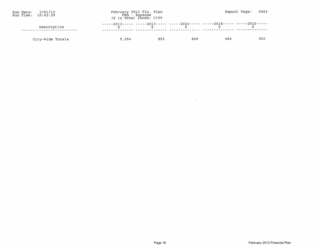| Run Date: 2/01/12<br>Run Time: 10:02:29 |                  |       | February 2012 Fin. Plan<br>PEG - Expense<br>(\$ in 000s) Funds: CITY |     |                                                                            | Report Page: 0004 |
|-----------------------------------------|------------------|-------|----------------------------------------------------------------------|-----|----------------------------------------------------------------------------|-------------------|
|                                         | Description      |       |                                                                      |     | -----2012----- -----2013----- -----2014----- -----2015----- -----2016----- |                   |
|                                         | City-Wide Totals | 5.294 | 852                                                                  | 868 | 884                                                                        | 902               |

 $\frac{1}{2}$ 

 $\mathcal{A}$  :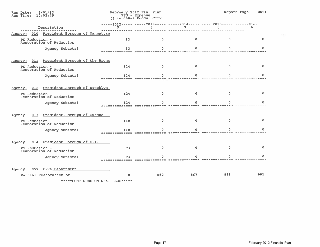| 2/01/12<br>Run Date:<br>Run Time:<br>10:02:29                                                                                                                                                                                                                                                                                                                                                                                                                                          |     | February 2012 Fin. Plan<br>PEG - Expense<br>(\$ in 000s) Funds: CITY |             |                                                                                                | Report Page:<br>0001 |
|----------------------------------------------------------------------------------------------------------------------------------------------------------------------------------------------------------------------------------------------------------------------------------------------------------------------------------------------------------------------------------------------------------------------------------------------------------------------------------------|-----|----------------------------------------------------------------------|-------------|------------------------------------------------------------------------------------------------|----------------------|
| Description                                                                                                                                                                                                                                                                                                                                                                                                                                                                            |     |                                                                      |             | $-$ ----2012----- -----2013----- -----2014----- -----2015----- -----2016-----<br>$\frac{1}{5}$ |                      |
| President, Borough of Manhattan<br>010<br>Agency:                                                                                                                                                                                                                                                                                                                                                                                                                                      |     |                                                                      |             |                                                                                                |                      |
| PS Reduction -<br>Restoration of Reduction                                                                                                                                                                                                                                                                                                                                                                                                                                             | 83  | $\Omega$                                                             | $\mathbf 0$ | $\Omega$                                                                                       | 0                    |
| Agency Subtotal                                                                                                                                                                                                                                                                                                                                                                                                                                                                        | 83  |                                                                      |             |                                                                                                |                      |
| President, Borough of the Bronx<br>011<br>Agency:                                                                                                                                                                                                                                                                                                                                                                                                                                      |     |                                                                      |             |                                                                                                |                      |
| PS Reduction -<br>Restoration of Reduction                                                                                                                                                                                                                                                                                                                                                                                                                                             | 124 | 0                                                                    | 0           | $\Omega$                                                                                       | $\mathbf{0}$         |
| Agency Subtotal                                                                                                                                                                                                                                                                                                                                                                                                                                                                        | 124 |                                                                      |             |                                                                                                |                      |
| President, Borough of Brooklyn<br>012<br>Agency:                                                                                                                                                                                                                                                                                                                                                                                                                                       |     |                                                                      |             |                                                                                                |                      |
| PS Reduction -<br>Restoration of Reduction                                                                                                                                                                                                                                                                                                                                                                                                                                             | 124 | $\Omega$                                                             | n.          | $\Omega$                                                                                       | $\Omega$             |
| Agency Subtotal                                                                                                                                                                                                                                                                                                                                                                                                                                                                        | 124 |                                                                      |             |                                                                                                |                      |
| President, Borough of Queens<br>013<br>Agency:                                                                                                                                                                                                                                                                                                                                                                                                                                         |     |                                                                      |             |                                                                                                |                      |
| PS Reduction -<br>Restoration of Reduction                                                                                                                                                                                                                                                                                                                                                                                                                                             | 110 | 0                                                                    | $^{\circ}$  | O.                                                                                             | $\Omega$             |
| Agency Subtotal                                                                                                                                                                                                                                                                                                                                                                                                                                                                        | 110 |                                                                      |             |                                                                                                |                      |
| President, Borough of S.I.<br>014<br>Agency:                                                                                                                                                                                                                                                                                                                                                                                                                                           |     |                                                                      |             |                                                                                                |                      |
| PS Reduction -<br>Restoration of Reduction                                                                                                                                                                                                                                                                                                                                                                                                                                             | 93  | $\Omega$                                                             | n.          |                                                                                                | $\Omega$             |
| Agency Subtotal                                                                                                                                                                                                                                                                                                                                                                                                                                                                        | 93  |                                                                      |             |                                                                                                |                      |
| Fire Department<br>Agency:<br>057                                                                                                                                                                                                                                                                                                                                                                                                                                                      |     |                                                                      |             |                                                                                                |                      |
| Partial Restoration of<br>$\mathcal{L} = \mathcal{L} + \mathcal{L} + \mathcal{L} + \mathcal{L} + \mathcal{L} + \mathcal{L} + \mathcal{L} + \mathcal{L} + \mathcal{L} + \mathcal{L} + \mathcal{L} + \mathcal{L} + \mathcal{L} + \mathcal{L} + \mathcal{L} + \mathcal{L} + \mathcal{L} + \mathcal{L} + \mathcal{L} + \mathcal{L} + \mathcal{L} + \mathcal{L} + \mathcal{L} + \mathcal{L} + \mathcal{L} + \mathcal{L} + \mathcal{L} + \mathcal{L} + \mathcal{L} + \mathcal{L} + \mathcal$ |     | 852                                                                  | 867         | 883                                                                                            | 901                  |

\*\*\*\*\*CONTINUED ON NEXT PAGE\*\*\*\*\*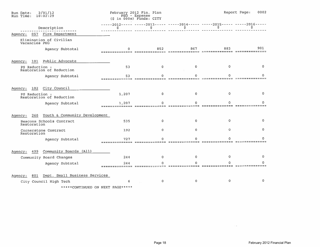| 2/01/12<br>Run Date:<br>Run Time:<br>10:02:29   |       | February 2012 Fin. Plan<br>PEG - Expense<br>$(S \in \{0.006\} )$ Funds: CITY |                |                                                                                 | Report Page:<br>0002    |
|-------------------------------------------------|-------|------------------------------------------------------------------------------|----------------|---------------------------------------------------------------------------------|-------------------------|
| Description                                     | Ş.    | \$.                                                                          | \$.            | -----2012----- -----2013----- -----2014----- -----2015----- -----2016-----<br>s |                         |
| Agency: 057 Fire Department                     |       |                                                                              |                |                                                                                 |                         |
| Elimination of Civilian<br>Vacancies PEG        |       |                                                                              |                |                                                                                 |                         |
| Agency Subtotal                                 |       | 852                                                                          | 867            | 883                                                                             | 901<br>, ============== |
| Public Advocate<br>Agency:<br>101               |       |                                                                              |                |                                                                                 |                         |
| PS Reduction -<br>Restoration of Reduction      | 53    | $\Omega$                                                                     | 0              | o                                                                               | 0.                      |
| Agency Subtotal                                 | 53    |                                                                              |                |                                                                                 |                         |
| City Council<br>Agency:<br>102                  |       |                                                                              |                |                                                                                 |                         |
| PS Reduction -<br>Restoration of Reduction      | 1,207 | $\mathbf{0}$                                                                 | $\overline{0}$ | 0                                                                               | $\Omega$                |
| Agency Subtotal                                 | 1,207 |                                                                              |                |                                                                                 |                         |
| Youth & Community Development<br>260<br>Agency: |       |                                                                              |                |                                                                                 |                         |
| Beacons Schools Contract<br>Restoration         | 535   | 0                                                                            | 0              | 0                                                                               | 0                       |
| Cornerstone Contract<br>Restoration             | 192   | 0                                                                            | 0              | 0                                                                               | 0                       |
| Agency Subtotal                                 | 727   |                                                                              |                |                                                                                 |                         |
| Community Boards (All)<br>499<br>Agency:        |       |                                                                              |                |                                                                                 |                         |
| Community Board Changes                         | 244   | 0                                                                            | o              | 0                                                                               | 0                       |
| Agency Subtotal                                 | 244   |                                                                              |                |                                                                                 |                         |
| Dept. Small Business Services<br>601<br>Agency: |       |                                                                              |                |                                                                                 |                         |
| City Council High Tech                          | 6     | 0                                                                            | $\Omega$       | Ω                                                                               | 0                       |
| *****CONTINUED ON NEXT PAGE*****                |       |                                                                              |                |                                                                                 |                         |

 $\sim 10^{-1}$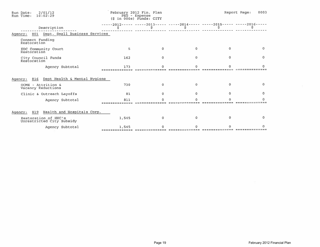| Run Date: 2/01/12<br>Run Time: 10:02:29           |       | February 2012 Fin. Plan<br>PEG - Expense<br>$(5 in 000s)$ Funds: CITY |              |                                                                       | Report Page:<br>0003 |
|---------------------------------------------------|-------|-----------------------------------------------------------------------|--------------|-----------------------------------------------------------------------|----------------------|
| Description                                       |       |                                                                       |              | -----2012----- -----2013----- -----2014----- -----2015----- -----2016 |                      |
| Agency: 801 Dept. Small Business Services         |       |                                                                       |              |                                                                       |                      |
| Connect Funding<br>Restoration                    |       |                                                                       |              |                                                                       |                      |
| EDC Community Court<br>Restoration                | 5     | $\Omega$                                                              | $\mathbf{0}$ | $\Omega$                                                              | 0                    |
| City Council Funds<br>Restoration                 | 162   | n.                                                                    | $\Omega$     | 0                                                                     | $\Omega$             |
| Agency Subtotal                                   | 173   |                                                                       |              |                                                                       |                      |
| Dept Health & Mental Hygiene<br>816<br>Agency:    |       |                                                                       |              |                                                                       |                      |
| OCME - Attrition &<br>Vacancy Reductions          | 730   | $^{\circ}$                                                            | $\Omega$     | o.                                                                    | $\Omega$             |
| Clinic & Outreach Layoffs                         | 81    |                                                                       |              |                                                                       | $\Omega$             |
| Agency Subtotal                                   | 811   |                                                                       |              |                                                                       |                      |
| Agency: 819 Health and Hospitals Corp.            |       |                                                                       |              |                                                                       |                      |
| Restoration of HHC's<br>Unrestricted City Subsidy | 1,545 | Ω                                                                     |              |                                                                       | $\Omega$             |
| Agency Subtotal                                   | 1,545 |                                                                       |              |                                                                       |                      |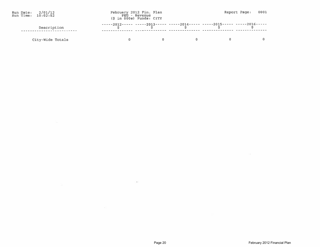| Run Date: $2/01/12$<br>Run Time: $10:02:52$ |                  | February 2012 Fin. Plan<br>PEG - Revenue<br>$(S \in \{S \mid 0.006\})$ Funds: $CITY$ |                                                                     |                                                                            | Report Page: 0001 |
|---------------------------------------------|------------------|--------------------------------------------------------------------------------------|---------------------------------------------------------------------|----------------------------------------------------------------------------|-------------------|
|                                             | Description      |                                                                                      | $\zeta$ and $\zeta$ and $\zeta$ and $\zeta$ and $\zeta$ and $\zeta$ | -----2012----- -----2013----- -----2014----- -----2015----- -----2016----- |                   |
|                                             | Cirv-Wide Totals |                                                                                      |                                                                     |                                                                            |                   |

 $\cdot$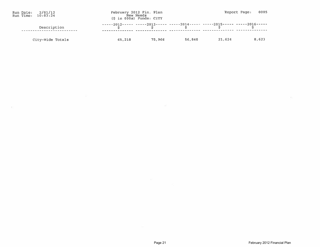| Run Date: 2/01/12<br>Run Time: 10:03:24 |                  |        | February 2012 Fin. Plan<br>New Needs<br>$(S in 000s)$ Funds: $CITY$ |        |                                                                            | 0005<br>Report Page: |
|-----------------------------------------|------------------|--------|---------------------------------------------------------------------|--------|----------------------------------------------------------------------------|----------------------|
|                                         | Description      |        |                                                                     |        | -----2012----- -----2013----- -----2014----- -----2015----- -----2016----- |                      |
|                                         | City-Wide Totals | 65.218 | 75,966                                                              | 56.840 | 21,624                                                                     | 8.623                |

 $\sim$ 

 $\mu(\lambda)$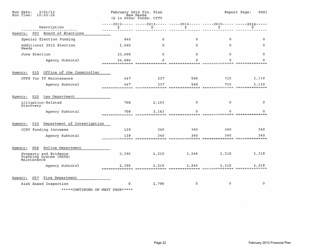| 2/01/12<br>Run Date:<br>Run Time:<br>10:03:24                  |                           | February 2012 Fin. Plan<br>New Needs<br>(\$ in 000s) Funds: CITY |              |                                                                                 | 0001<br>Report Page: |
|----------------------------------------------------------------|---------------------------|------------------------------------------------------------------|--------------|---------------------------------------------------------------------------------|----------------------|
| Description                                                    | s                         | $\mathsf{S}$ .                                                   | \$           | -----2012----- -----2013----- -----2014----- -----2015----- -----2016-----<br>s | s                    |
| 003 Board of Elections<br>Agency:                              |                           |                                                                  |              |                                                                                 |                      |
| Special Election Funding                                       | 840                       | $\mathbf 0$                                                      | 0            | 0                                                                               | $\Omega$             |
| Additional 2012 Election<br>Needs                              | 1,040                     | $\Omega$                                                         | 0            | $\Omega$                                                                        | 0                    |
| June Election                                                  | 23,000                    | $\Omega$                                                         | $\mathbf{0}$ | $\mathbf 0$                                                                     | 0                    |
| Agency Subtotal                                                | 24,880<br>--------------- | Λ                                                                | Λ            | Ω                                                                               |                      |
| Office of the Comptroller<br>015<br>Agency:                    |                           |                                                                  |              |                                                                                 |                      |
| OTPS for IT Maintenance                                        | 447                       | 337                                                              | 566          | 715                                                                             | 1,110                |
| Agency Subtotal                                                | 447<br>===========        | 337                                                              | 566          | 715                                                                             | 1,110                |
| 025<br>Law Department<br>Agency:                               |                           |                                                                  |              |                                                                                 |                      |
| Litigation-Related<br>Discovery                                | 708                       | 2,163                                                            | $\mathbf 0$  | 0                                                                               | 0                    |
| Agency Subtotal                                                | 708                       | 2,163                                                            |              |                                                                                 |                      |
| Department of Investigation<br>032<br>Agency:                  |                           |                                                                  |              |                                                                                 |                      |
| CCPC Funding Increase                                          | 139                       | 340                                                              | 340          | 340                                                                             | 340                  |
| Agency Subtotal                                                | 139                       | 340                                                              | 340          | 340                                                                             | 340                  |
| Police Department<br>056<br>Agency:                            |                           |                                                                  |              |                                                                                 |                      |
| Property and Evidence<br>Tracking System (PETS)<br>Maintenance | 2,395                     | 1,210                                                            | 1,244        | 1,318                                                                           | 1,318                |
| Agency Subtotal                                                | 2,395<br>--------------   | 1,210                                                            | 1,244        | 1,318                                                                           | 1,318                |
| Fire Department<br>Agency:<br>057<br>Risk Based Inspection     | ٥                         | 1,796                                                            | 0            | $\mathbf 0$                                                                     | 0                    |

\*\*\*\*\*CONTINUED ON NEXT PAGE\*\*\*\*\*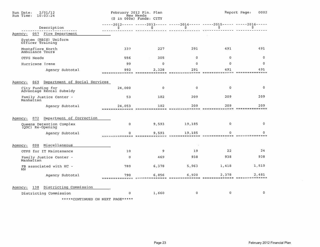| 2/01/12<br>Run Date:<br>Run Time:<br>10:03:24   |                          | February 2012 Fin. Plan<br>New Needs<br>(\$ in 000s) Funds: CITY |                                                                                  |             | Report Page:<br>0002         |
|-------------------------------------------------|--------------------------|------------------------------------------------------------------|----------------------------------------------------------------------------------|-------------|------------------------------|
| Description                                     | \$.                      | \$                                                               | -----2012----- -----2013----- -----2014----- -----2015----- -----2016-----<br>\$ | ş           | \$                           |
| 057<br>Fire Department<br>Agency:               |                          |                                                                  |                                                                                  |             |                              |
| System (RBIS) Uniform<br>Officer Training       |                          |                                                                  |                                                                                  |             |                              |
| Montefiore North<br>Ambulance Tours             | 337                      | 227                                                              | 291                                                                              | 491         | 491                          |
| OTPS Needs                                      | 556                      | 305                                                              | $\Omega$                                                                         | $\mathbf 0$ | 0                            |
| Hurricane Irene                                 | 99                       | $\Omega$                                                         | $\Omega$                                                                         | $\Omega$    | $\Omega$                     |
| Agency Subtotal                                 | 992<br>==============    | 2,328<br>----------                                              | 291                                                                              | 491         | 491<br>==========            |
| Department of Social Services<br>Agency:<br>069 |                          |                                                                  |                                                                                  |             |                              |
| City Funding for<br>Advantage Rental Subsidy    | 24,000                   | $^{\circ}$                                                       | $\mathbf 0$                                                                      | 0           | o                            |
| Family Justice Center -<br>Manhattan            | 53                       | 182                                                              | 209                                                                              | 209         | 209                          |
| Agency Subtotal                                 | 24,053<br>============== | 182<br>===========                                               | 209                                                                              | 209         | 209<br>============<br>$= 1$ |
| Department of Correction<br>072<br>Agency:      |                          |                                                                  |                                                                                  |             |                              |
| Queens Detention Complex<br>(QDC) Re-Opening    | $\mathbf{0}$             | 9,593                                                            | 19,185                                                                           | $\mathbf 0$ | $\mathbf 0$                  |
| Agency Subtotal                                 | $\Omega$                 | 9,593                                                            | 19,185<br><u>UURIIKAANAANA NOONEASOOGGOO HAAANNINNASSA IILIAAANNINNAST</u>       | 0           | n<br>==============          |
| Miscellaneous<br>098<br>Agency:                 |                          |                                                                  |                                                                                  |             |                              |
| OTPS for IT Maintenance                         | 10                       | 9                                                                | 19                                                                               | 22          | 24                           |
| Family Justice Center -<br>Manhattan            | $\mathbf 0$              | 469                                                              | 938                                                                              | 938         | 938                          |
| FB associated with HC -<br>NN                   | 780                      | 6,378                                                            | 5,963                                                                            | 1,418       | 1,519                        |
| Agency Subtotal                                 | 790                      | 6,856                                                            | 6,920                                                                            | 2,378       | 2,481<br>============        |
| Districting Commission<br>Agency:<br>138        |                          |                                                                  |                                                                                  |             |                              |
| Districting Commission                          | 0                        | 1,660                                                            | $\circ$                                                                          | $\mathbf 0$ | $\circ$                      |
| *****CONTINUED ON NEXT PAGE*****                |                          |                                                                  |                                                                                  |             |                              |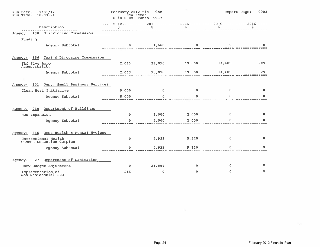| 2/01/12<br>Run Date:<br>Run Time:<br>10:03:24     |             | February 2012 Fin. Plan<br>New Needs<br>(\$ in 000s) Funds: CITY             |        |          | Report Page:<br>0003 |
|---------------------------------------------------|-------------|------------------------------------------------------------------------------|--------|----------|----------------------|
| Description                                       |             | -----2012----- -----2013----- -----2014----- -----2015----- -----2016<br>\$. | \$     | \$.      |                      |
| Districting Commission<br>138<br>Agency:          |             |                                                                              |        |          |                      |
| Funding                                           |             |                                                                              |        |          |                      |
| Agency Subtotal                                   | =========== | 1,660<br><b>BREEFEEEEEEEE</b>                                                |        |          |                      |
| Taxi & Limousine Commission<br>156<br>Agency:     |             |                                                                              |        |          |                      |
| TLC Five Boro<br>Accessibility                    | 2,043       | 23,090                                                                       | 19,000 | 14,409   | 909                  |
| Agency Subtotal                                   | 2,043       | 23,090                                                                       | 19,000 | 14,409   | 909                  |
|                                                   |             |                                                                              |        |          |                      |
| Dept. Small Business Services<br>801<br>Agency:   |             |                                                                              |        |          |                      |
| Clean Heat Initiative                             | 5,000       | 0                                                                            | 0      | $\Omega$ | o                    |
| Agency Subtotal                                   | 5,000       |                                                                              |        |          |                      |
| Department of Buildings<br>810<br>Agency:         |             |                                                                              |        |          |                      |
| HUB Expansion                                     | 0           | 2,000                                                                        | 2,000  | 0        | o                    |
| Agency Subtotal                                   |             | 2.000                                                                        | 2,000  |          |                      |
| Dept Health & Mental Hygiene<br>Agency:<br>816    |             |                                                                              |        |          |                      |
| Correctional Health -<br>Queens Detention Complex | 0           | 2,921                                                                        | 5,320  | 0        |                      |
| Agency Subtotal                                   |             | 2,921                                                                        | 5,320  |          |                      |
| Department of Sanitation<br>827<br>Agency:        |             |                                                                              |        |          |                      |
| Snow Budget Adjustment                            | $\mathbf 0$ | 21,584                                                                       | 0      | 0        | $^{\circ}$           |
| Implementation of<br>Non-Residential PEG          | 215         | $\circ$                                                                      | 0      | ٥        | o                    |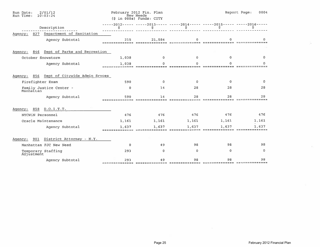| 2/01/12<br>Run Date:<br>Run Time:<br>10:03:24  |                         | February 2012 Fin. Plan<br>New Needs<br>(\$ in 000s) Funds: CITY |       |          | Report Page:<br>0004 |
|------------------------------------------------|-------------------------|------------------------------------------------------------------|-------|----------|----------------------|
| Description                                    | \$                      | \$.                                                              | Ŝ.    | \$       |                      |
| Department of Sanitation<br>827<br>Agency:     |                         |                                                                  |       |          |                      |
| Agency Subtotal                                | 215                     | 21,584                                                           |       |          |                      |
| Dept of Parks and Recreation<br>846<br>Agency: |                         |                                                                  |       |          |                      |
| October Snowstorm                              | 1,038                   | 0                                                                | O.    | $\Omega$ | 0                    |
| Agency Subtotal                                | 1,038<br>-------------- |                                                                  |       |          |                      |
| 856 Dept of Citywide Admin Sryces<br>Agency:   |                         |                                                                  |       |          |                      |
| Firefighter Exam                               | 590                     | $\mathbf 0$                                                      | 0     | $\Omega$ | $\mathbf{0}$         |
| Family Justice Center -<br>Manhattan           | $\mathbf 0$             | 14                                                               | 28    | 28       | 28                   |
| Agency Subtotal                                | 590                     | 14                                                               | 28    | 28       | 28                   |
| D.O.I.T.T.<br>858<br>Agency:                   |                         |                                                                  |       |          |                      |
| NYCWIN Personnel                               | 476                     | 476                                                              | 476   | 476      | 476                  |
| Oracle Maintenance                             | 1,161                   | 1,161                                                            | 1,161 | 1,161    | 1,161                |
| Agency Subtotal                                | 1.637                   | 1,637                                                            | 1,637 | 1,637    | 1.637                |
| District Attorney - N.Y.<br>901<br>Agency:     |                         |                                                                  |       |          |                      |
| Manhattan FJC New Need                         | $\mathbf 0$             | 49                                                               | 98    | 98       | 98                   |
| Temporary Staffing<br>Adjustment               | 293                     | $\Omega$                                                         | 0     | $\Omega$ | $\Omega$             |
| Agency Subtotal                                | 293                     | 49                                                               | 98    | 98       | 98                   |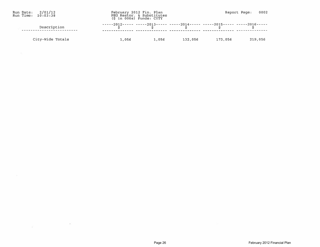| Run Date: 2/01/12<br>Run Time: $10:03:38$ |                  |       | February 2012 Fin. Plan<br>PEG Restor. & Substitutes<br>$(S \in \{0.005\})$ Funds: $CITY$ |         |                                                                                                                                                                                                      | Report Page: 0002 |         |
|-------------------------------------------|------------------|-------|-------------------------------------------------------------------------------------------|---------|------------------------------------------------------------------------------------------------------------------------------------------------------------------------------------------------------|-------------------|---------|
|                                           | Description      |       |                                                                                           |         | -----2012----- -----2013----- -----2014----- -----2015----- -----2016-----<br>$\begin{array}{cccccccccccccc} \epsilon & \epsilon & \epsilon & \epsilon & \epsilon & \epsilon & \epsilon \end{array}$ |                   |         |
|                                           | City-Wide Totals | 1,056 | 1,056                                                                                     | 132,056 | 173,056                                                                                                                                                                                              |                   | 219,056 |

 $\sim$ 

×

 $\mathcal{L}^{\mathcal{N}}$  .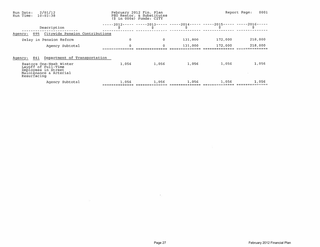| Run Date:<br>Run Time: 10:03:38 | 2/01/12                                                                                         |          | February 2012 Fin. Plan<br>PEG Restor. & Substitutes<br>(\$ in 000s) Funds: CITY |         |         | Report Page:<br>0001 |
|---------------------------------|-------------------------------------------------------------------------------------------------|----------|----------------------------------------------------------------------------------|---------|---------|----------------------|
|                                 | Description                                                                                     |          |                                                                                  |         |         |                      |
| Agency:                         | 095 Citywide Pension Contributions                                                              |          |                                                                                  |         |         |                      |
|                                 | Delay in Pension Reform                                                                         | $\circ$  | 0                                                                                | 131,000 | 172,000 | 218,000              |
|                                 | Agency Subtotal                                                                                 | $\Omega$ | 0                                                                                | 131,000 | 172,000 | 218,000              |
| 841<br>Agency:                  | Department of Transportation                                                                    |          |                                                                                  |         |         |                      |
| Resurfacing                     | Restore One-Week Winter<br>Layoff of Full-Time<br>Employees in Street<br>Mainténance & Arterial | 1,056    | 1,056                                                                            | 1,056   | 1,056   | 1,056                |
|                                 | Agency Subtotal                                                                                 | 1,056    | 1,056                                                                            | 1,056   | 1,056   | 1,056                |

55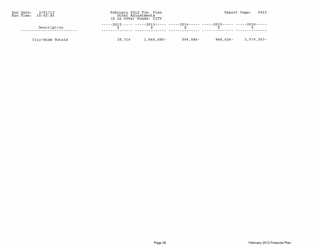| Run Date: 2/01/12<br>Run Time: $10:03:54$ |                  | February 2012 Fin. Plan<br>Other Adjustments<br>$(S \in \{0.005\})$ Funds: $CITY$ |          |                                                                                                                                                                                              | Report Page: 0015       |
|-------------------------------------------|------------------|-----------------------------------------------------------------------------------|----------|----------------------------------------------------------------------------------------------------------------------------------------------------------------------------------------------|-------------------------|
|                                           | Description      |                                                                                   |          | -----2012----- -----2013----- -----2014----- -----2015----- -----2016-----<br>e de la construction de la construction de la construction de la construction de la construction de la constru |                         |
|                                           | City-Wide Totals | 39,714 1,840,680-                                                                 | 594,586- |                                                                                                                                                                                              | $968,626 - 1,074,263 -$ |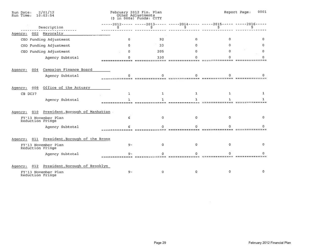| 2/01/12<br>Run Date:<br>Run Time:<br>10:03:54     |          | February 2012 Fin. Plan<br>Other Adjustments<br>$(5 in 000s)$ Funds: CITY |              |                                          | Report Page:<br>0001 |
|---------------------------------------------------|----------|---------------------------------------------------------------------------|--------------|------------------------------------------|----------------------|
| Description                                       | s        | $-2012 - - - - - - -2013 - - - -$<br>\$                                   | s            | $---2014--- ----2015--- ----2016-$<br>Ŝ. |                      |
| 002 Mayoralty<br>Agency:                          |          |                                                                           |              |                                          |                      |
| CEO Funding Adjustment                            | $\Omega$ | 92                                                                        | $\mathbf{0}$ | 0                                        |                      |
| CEO Funding Adjustment                            |          | 33                                                                        |              |                                          |                      |
| CEO Funding Adjustment                            | n        | 205                                                                       |              |                                          |                      |
| Agency Subtotal                                   |          | 330                                                                       |              |                                          |                      |
| Campaign Finance Board<br>004<br>Agency:          |          |                                                                           |              |                                          |                      |
| Agency Subtotal                                   |          |                                                                           |              |                                          |                      |
| Office of the Actuary<br>008<br>Agency:           |          |                                                                           |              |                                          |                      |
| CB DC37                                           |          | 1                                                                         | 1.           |                                          |                      |
| Agency Subtotal                                   |          |                                                                           |              |                                          |                      |
| President, Borough of Manhattan<br>010<br>Agency: |          |                                                                           |              |                                          |                      |
| FY'13 November Plan<br>Reduction Fringe           |          |                                                                           |              |                                          |                      |
| Agency Subtotal                                   |          |                                                                           |              |                                          |                      |
| President, Borough of the Bronx<br>011<br>Agency: |          |                                                                           |              |                                          |                      |
| FY'13 November Plan<br>Reduction Fringe           | $9-$     |                                                                           |              |                                          |                      |
| Agency Subtotal                                   |          |                                                                           |              |                                          |                      |
| President, Borough of Brooklyn<br>012<br>Agency:  |          |                                                                           |              |                                          |                      |
| FY'13 November Plan<br>Reduction Fringe           | $9 -$    | o                                                                         |              |                                          |                      |

 $\overline{\mathcal{C}}$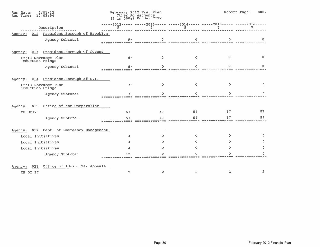| 2/01/12<br>Run Date:<br>Run Time:<br>10:03:54    |       | February 2012 Fin. Plan<br>Other Adjustments<br>$(S \in 000s)$ Funds: $CITY$ |                                                                              |             | Report Page:<br>0002 |
|--------------------------------------------------|-------|------------------------------------------------------------------------------|------------------------------------------------------------------------------|-------------|----------------------|
| Description                                      | \$    | s                                                                            | -----2012----- -----2013----- -----2014----- -----2015----- -----2016--<br>Ş | \$          | S                    |
| President, Borough of Brooklyn<br>012<br>Agency: |       |                                                                              |                                                                              |             |                      |
| Agency Subtotal                                  | 9.    |                                                                              |                                                                              |             |                      |
| President, Borough of Queens<br>013<br>Agency:   |       |                                                                              |                                                                              |             |                      |
| FY'13 November Plan<br>Reduction Fringe          | $B -$ | n.                                                                           | 0                                                                            | $^{\circ}$  | 0                    |
| Agency Subtotal                                  | я     |                                                                              |                                                                              |             |                      |
| President, Borough of S.I.<br>Agency:<br>014     |       |                                                                              |                                                                              |             |                      |
| FY'13 November Plan<br>Reduction Fringe          | $7 -$ | 0                                                                            | 0                                                                            | $\mathbf 0$ | o                    |
| Agency Subtotal                                  |       |                                                                              |                                                                              |             |                      |
| Office of the Comptroller<br>015<br>Agency:      |       |                                                                              |                                                                              |             |                      |
| CB DC37                                          | 57    | 57                                                                           | 57                                                                           | 57          | 57                   |
| Agency Subtotal                                  | 57    | 57                                                                           | 57                                                                           | 57          | 57                   |
| Dept. of Emergency Management<br>017<br>Agency:  |       |                                                                              |                                                                              |             |                      |
| Local Initiatives                                |       | 0.                                                                           | O.                                                                           | 0           | 0                    |
| Local Initiatives                                |       | 0.                                                                           |                                                                              | o           | 0                    |
| Local Initiatives                                |       | n.                                                                           | n                                                                            | Ω           | n                    |
| Agency Subtotal                                  |       |                                                                              |                                                                              |             |                      |
| Office of Admin. Tax Appeals<br>021<br>Agency:   |       |                                                                              |                                                                              |             |                      |
| CB DC 37                                         | 2     | 2                                                                            | 2                                                                            | 2           | 2                    |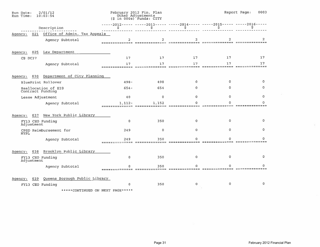| 2/01/12<br>Run Date:<br>Run Time:<br>10:03:54   |                       | February 2012 Fin. Plan<br>Other Adjustments<br>$(S \in \{S \mid 0.005\}^T)$ Funds: CITY |              |            | 0003<br>Report Page: |
|-------------------------------------------------|-----------------------|------------------------------------------------------------------------------------------|--------------|------------|----------------------|
| Description                                     | Ş                     | $---2012------2013------2014------2014------2015---------2016-$<br>\$                    | \$           | Ş          | s                    |
| Office of Admin. Tax Appeals<br>021<br>Agency:  |                       |                                                                                          |              |            |                      |
| Agency Subtotal                                 | -------------         |                                                                                          |              | ========== |                      |
| Law Department<br>025<br>Agency:                |                       |                                                                                          |              |            |                      |
| CB DC37                                         | 17                    | 17                                                                                       | 17           | 17         | 17                   |
| Agency Subtotal                                 | 17                    | 17                                                                                       | 17           | 17         | 17<br>========       |
| Department of City Planning<br>030<br>Agency:   |                       |                                                                                          |              |            |                      |
| <b>BluePrint Rollover</b>                       | $498 -$               | 498                                                                                      | $\mathbf{0}$ | $\Omega$   | 0                    |
| Reallocation of EIS<br>Contract Funding         | $654 -$               | 654                                                                                      | 0            | 0          | 0                    |
| Lease Adjustment                                | 40                    | $\mathbf 0$                                                                              | $\Omega$     | 0          | 0                    |
| Agency Subtotal                                 | $1, 112 -$            | 1,152                                                                                    |              |            | Ω                    |
| New York Public Library<br>037<br>Agency:       |                       |                                                                                          |              |            |                      |
| FY13 CEO Funding<br>Adjustment                  | 0                     | 350                                                                                      | 0            | 0          | $\Omega$             |
| CPSD Reimbursement for<br><b>NYPL</b>           | 249                   | $\mathbf 0$                                                                              | $\Omega$     | 0          | o                    |
| Agency Subtotal                                 | 249<br>-------------- | 350                                                                                      |              |            |                      |
| Brooklyn Public Library<br>038<br>Agency:       |                       |                                                                                          |              |            |                      |
| FY13 CEO Funding<br>Adjustment                  | $\mathbf 0$           | 350                                                                                      | $\Omega$     | 0          | 0                    |
| Agency Subtotal                                 |                       | 350                                                                                      |              |            |                      |
| Queens Borough Public Library<br>039<br>Agency: |                       |                                                                                          |              |            |                      |
| FY13 CEO Funding                                | 0                     | 350                                                                                      | 0            | 0          | 0                    |
|                                                 |                       |                                                                                          |              |            |                      |

\*\*\*\*\*CONTINUED ON NEXT PAGE\*\*\*\*\*

÷.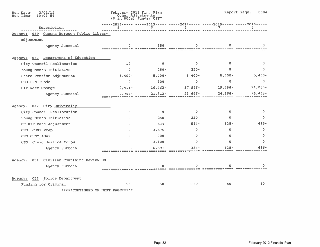| 2/01/12<br>Run Date:<br>Run Time:<br>10:03:54   |                        | February 2012 Fin. Plan<br>Other Adjustments<br>$(S \in 000s)$ Funds: CITY |              |              | Report Page:<br>0004 |
|-------------------------------------------------|------------------------|----------------------------------------------------------------------------|--------------|--------------|----------------------|
| Description                                     | s                      | -----2012----- -----2013----- -----2014----- -----2015----- -----2016----- | s            |              |                      |
| Agency: 039 Queens Borough Public Library       |                        |                                                                            |              |              |                      |
| Adjustment                                      |                        |                                                                            |              |              |                      |
| Agency Subtotal                                 |                        | 350                                                                        |              |              |                      |
| Department of Education<br>040<br>Agency:       |                        |                                                                            |              |              |                      |
| City Council Reallocation                       | 12 <sub>2</sub>        | $\circ$                                                                    | $\Omega$     | $\Omega$     | 0                    |
| Young Men's Initiative                          | $\mathbf{O}$           | $250 -$                                                                    | $250 -$      | o.           | $\mathbf 0$          |
| State Pension Adjustment                        | $5,400 -$              | $5,400-$                                                                   | $5,400-$     | $5,400-$     | $5,400-$             |
| CEO-LPN Funds                                   | $\Omega$               | 300                                                                        | $\mathbf{0}$ | $\circ$      | $\mathbf 0$          |
| HIP Rate Change                                 | $2,411-$               | $16,463-$                                                                  | $17,996-$    | $19,466 -$   | $21,063 -$           |
| Agency Subtotal                                 | $7,799-$               | $21,813-$                                                                  | $23,646-$    | $24,866-$    | $26,463-$            |
| City University<br>042<br>Agency:               |                        |                                                                            |              |              |                      |
| City Council Reallocation                       | $6 -$                  | n                                                                          | $\Omega$     | $\Omega$     |                      |
| Young Men's Initiative                          | o.                     | 250                                                                        | 250          | $\Omega$     | 0                    |
| CC HIP Rate Adjustment                          | O.                     | $534 -$                                                                    | $584 -$      | $638 -$      | 696-                 |
| CEO: CUNY Prep                                  | 0                      | 3,575                                                                      | 0            | $\mathbf{0}$ | $\mathbf 0$          |
| CEO: CUNY ASAP                                  | $\Omega$               | 300                                                                        | 0            | $\Omega$     | 0                    |
| CEO: Civic Justice Corps.                       | 0                      | 3,100                                                                      | 0            | $\bf{0}$     | $\overline{0}$       |
| Agency Subtotal                                 |                        | 6,691                                                                      | 334          | 63.R         | 696                  |
| Civilian Complaint Review Bd.<br>054<br>Agency: |                        |                                                                            |              |              |                      |
| Agency Subtotal                                 | =============== ====== |                                                                            |              |              |                      |
| Police Department<br>056<br>Agency:             |                        |                                                                            |              |              |                      |
| Funding for Criminal                            | 50                     | 50                                                                         | $-50$        | 50           | 50                   |

\*\*\*\*\*CONTINUED ON NEXT PAGE\*\*\*\*\*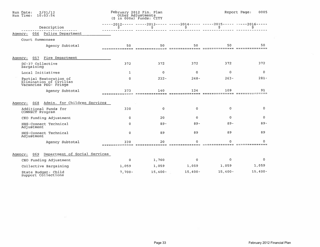| 2/01/12<br>Run Date:<br>Run Time: 10:03:54                                 |              | February 2012 Fin. Plan<br>Other Adjustments<br>(\$ in 000s) Funds: CITY |              |                                                                                   | Report Page:<br>0005 |
|----------------------------------------------------------------------------|--------------|--------------------------------------------------------------------------|--------------|-----------------------------------------------------------------------------------|----------------------|
| Description                                                                | \$           | \$                                                                       | \$           | -----2012----- -----2013----- -----2014----- -----2015----- -----2016-----<br>\$. |                      |
| Police Department<br>056<br>Agency:                                        |              |                                                                          |              |                                                                                   |                      |
| Court Summonses                                                            |              |                                                                          |              |                                                                                   |                      |
| Agency Subtotal                                                            | 50           | 50                                                                       | 50           | 50                                                                                | 50                   |
| Fire Department<br>057<br>Agency:                                          |              |                                                                          |              |                                                                                   |                      |
| DC-37 Collective<br>Bargaining                                             | 372          | 372                                                                      | 372          | 372                                                                               | 372                  |
| Local Initiatives                                                          | $\mathbf{1}$ | $\circ$                                                                  | 0            | 0                                                                                 | 0                    |
| Partial Restoration of<br>Elimination of Civilian<br>Vacancies PEG- Fringe | $\circ$      | $232 -$                                                                  | $248 -$      | $263 -$                                                                           | $281 -$              |
| Agency Subtotal                                                            | 373          | 140                                                                      | 124          | 109                                                                               | 91<br>-------        |
| Admin. for Children Services<br>068<br>Agency:                             |              |                                                                          |              |                                                                                   |                      |
| Additional Funds for<br>CONNECT Program                                    | 330          | $\Omega$                                                                 | $\circ$      | $\circ$                                                                           | $\mathbf{0}$         |
| CEO Funding Adjustment                                                     | $^{\circ}$   | 20                                                                       | $\mathbf{0}$ | $\mathbf{0}$                                                                      | $\mathbf{0}$         |
| HHS-Connect Technical<br>Adjustment                                        | $\mathbf 0$  | $89 -$                                                                   | $B9-$        | $89 -$                                                                            | $89 -$               |
| HHS-Connect Technical<br>Adjustment                                        | $\mathbf 0$  | 89                                                                       | 89           | 89                                                                                | 89                   |
| Agency Subtotal                                                            | 330          | 20                                                                       |              |                                                                                   | 0                    |
| Department of Social Services<br>069<br>Agency:                            |              |                                                                          |              |                                                                                   |                      |
| CEO Funding Adjustment                                                     | $\mathbf{o}$ | 1,760                                                                    | $\mathbf 0$  | $\Omega$                                                                          | 0                    |
| Collective Bargaining                                                      | 1,059        | 1,059                                                                    | 1,059        | 1,059                                                                             | 1,059                |
| State Budget: Child<br>Support Collections                                 | $7,700-$     | $15,400 -$                                                               | $15,400 -$   | $15,400 -$                                                                        | $15,400 -$           |

前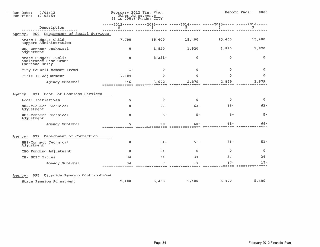| 2/01/12<br>Run Date:<br>Run Time:<br>10:03:54                   |                      | February 2012 Fin. Plan<br>Other Adjustments<br>$(S \in \{0.005\})$ Funds: CITY |                                                                                   | Report Page:<br>0006 |              |  |
|-----------------------------------------------------------------|----------------------|---------------------------------------------------------------------------------|-----------------------------------------------------------------------------------|----------------------|--------------|--|
| Description                                                     | \$                   | \$.                                                                             | -----2012----- -----2013----- -----2014----- -----2015----- -----2016-----<br>'ş. | \$                   |              |  |
| Department of Social Services<br>069<br>Agency:                 |                      |                                                                                 |                                                                                   |                      |              |  |
| State Budget: Child<br>Support Administration                   | 7,700                | 15,400                                                                          | 15,400                                                                            | 15,400               | 15,400       |  |
| HHS-Connect Technical<br>Adjustment                             | $\mathbf{0}$         | 1,820                                                                           | 1,820                                                                             | 1,820                | 1,820        |  |
| State Budget: Public<br>Assistance Base Grant<br>Increase Delay | $\mathbf{0}$         | $8,331-$                                                                        | 0                                                                                 | $\Omega$             | 0            |  |
| City Council Member Items                                       | $1 -$                | $\Omega$                                                                        | $\Omega$                                                                          | $\Omega$             | $\mathbf{0}$ |  |
| Title XX Adjustment                                             | $1,604-$             | $\Omega$                                                                        | $\Omega$                                                                          | 0                    | 0            |  |
| Agency Subtotal                                                 | 546-<br>============ | $3,692-$                                                                        | 2,879                                                                             | 2.879                | 2.879        |  |
| Dept. of Homeless Services<br>071<br>Agency:                    |                      |                                                                                 |                                                                                   |                      |              |  |
| Local Initiatives                                               | 9                    | $\mathbf{0}$                                                                    | $\mathbf 0$                                                                       | $\mathbf 0$          | 0            |  |
| HHS-Connect Technical<br>Adjustment                             | $\Omega$             | $63 -$                                                                          | $63 -$                                                                            | $63 -$               | $63 -$       |  |
| HHS-Connect Technical<br>Adjustment                             | $\Omega$             | $5 -$                                                                           | $5 -$                                                                             | $5 -$                | $5 -$        |  |
| Agency Subtotal                                                 | 9<br>==============  | 68-                                                                             | 68-                                                                               | 68-                  | $68 -$       |  |
| Department of Correction<br>072<br>Agency:                      |                      |                                                                                 |                                                                                   |                      |              |  |
| HHS-Connect Technical<br>Adjustment                             | 0                    | $51 -$                                                                          | $51 -$                                                                            | $51 -$               | $51 -$       |  |
| CEO Funding Adjustment                                          | $\Omega$             | 24                                                                              | $\Omega$                                                                          | $\overline{0}$       | $\Omega$     |  |
| CB- DC37 Titles                                                 | 34                   | 34                                                                              | 34                                                                                | 34                   | 34           |  |
| Agency Subtotal                                                 | 34                   | 7                                                                               | $17 -$                                                                            | $17 -$               | $17 -$       |  |
| Citywide Pension Contributions<br>095<br>Agency:                |                      |                                                                                 |                                                                                   |                      |              |  |
| State Pension Adjustment                                        | 5,400                | 5,400                                                                           | 5,400                                                                             | 5,400                | 5,400        |  |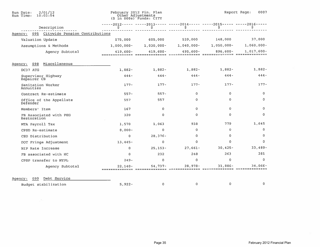| 2/01/12<br>Run Date:<br>Run Time:<br>10:03:54 |               | February 2012 Fin. Plan<br>Other Adjustments<br>$(S in 000s)$ Funds: CITY |               |                                                                                    | Report Page:<br>0007          |
|-----------------------------------------------|---------------|---------------------------------------------------------------------------|---------------|------------------------------------------------------------------------------------|-------------------------------|
| Description                                   | s             | \$                                                                        | \$            | -----2012----- -----2013----- -----2014----- -----2015----- -----2016-----<br>Ş    | Ş                             |
| Agency: 095 Citywide Pension Contributions    |               |                                                                           |               |                                                                                    |                               |
| Valuation Update                              | 575,000       | 605,000                                                                   | 539,000       | 148,000                                                                            | 37,000                        |
| Assumptions & Methods                         | $1,000,000 -$ | $1,030,000 -$                                                             | $1,040,000 -$ | $1,050,000 -$                                                                      | $1,060,000 -$                 |
| Agency Subtotal                               | $419,600 -$   | $419,600 -$                                                               | 495,600-      | $896,600 -$<br><u>sopocccicina apertestizace cinnadadense exitozocicas exteric</u> | $1,017,600 -$                 |
| Miscellaneous<br>098<br>Agency:               |               |                                                                           |               |                                                                                    |                               |
| DC37 ATG                                      | $1,882-$      | $1,882-$                                                                  | $1,882-$      | $1,882-$                                                                           | $1,882-$                      |
| Supervisor Highway<br>Repairer CB             | $444 -$       | $444 -$                                                                   | $444 -$       | $444 -$                                                                            | 444-                          |
| Sanitation Worker<br>Annuities                | $177 -$       | $177 -$                                                                   | $177 -$       | $177 -$                                                                            | $177 -$                       |
| Contract Re-estimate                          | $557 -$       | $557 -$                                                                   | 0             | 0                                                                                  | $\Omega$                      |
| Office of the Appellate<br>Defender           | 557           | 557                                                                       | 0             | 0                                                                                  | $\Omega$                      |
| Members' Item                                 | 167           | $\mathbf 0$                                                               | 0             | $\mathbf{0}$                                                                       | $\Omega$                      |
| FB Associated with PEG<br>Restoration         | 320           | $\circ$                                                                   | $\Omega$      | 0                                                                                  | $\Omega$                      |
| MTA Payroll Tax                               | 1,570         | 1,063                                                                     | 938           | 779                                                                                | 1,645                         |
| CPSD Re-estimate                              | $8,000 -$     | $\mathbf 0$                                                               | $\Omega$      | $\Omega$                                                                           | $\mathbf{0}$                  |
| CEO Distribution                              | 0             | $28,376 -$                                                                | 0             | 0                                                                                  | $\mathbf{0}$                  |
| DOT Fringe Adjustment                         | $13,445-$     | 0                                                                         | 0             | 0                                                                                  | $\circ$                       |
| HIP Rate Increase                             | 0             | $25, 153 -$                                                               | $27,661 -$    | $30,425 -$                                                                         | $33,489-$                     |
| FB associated with HC                         | $\mathbf{0}$  | 232                                                                       | 248           | 263                                                                                | 281                           |
| CPSP transfer to NYPL                         | $249 -$       | 0                                                                         | 0             | 0                                                                                  | $\Omega$                      |
| Agency Subtotal                               | $22,140-$     | 54,737-                                                                   | $28,978-$     | $31,886 -$                                                                         | 34,066-<br>=== ============== |
| Debt Service<br>099<br>Agency:                |               |                                                                           |               |                                                                                    |                               |
| Budget stabilization                          | $5,922 -$     | $\mathbf 0$                                                               | $\mathbf 0$   | $\mathbf 0$                                                                        | 0                             |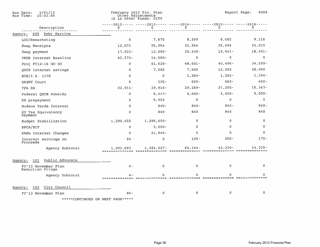| 2/01/12<br>Run Date:<br>Run Time:<br>10:03:54 |                     | February 2012 Fin. Plan<br>Other Adjustments<br>$(S$ in $000s)$ Funds: $CITY$ |                |                                                                                 | Report Page:<br>0008 |
|-----------------------------------------------|---------------------|-------------------------------------------------------------------------------|----------------|---------------------------------------------------------------------------------|----------------------|
| Description                                   | \$.                 | \$                                                                            | \$             | $-2012$ ----- -----2013----- -----2014----- -----2015----- -----2016-----<br>\$ | s                    |
| Debt Service<br>099<br>Agency:                |                     |                                                                               |                |                                                                                 |                      |
| LOC/Remarketing                               | $\ddot{\mathbf{0}}$ | 7,875                                                                         | 8,269          | 8,682                                                                           | 9,116                |
| Swap Receipts                                 | 12,073              | 25,954                                                                        | 25,954         | 25,094                                                                          | 24,015               |
| Swap payment                                  | $17,923 -$          | $12,095 -$                                                                    | $20,438-$      | $19,441-$                                                                       | $18,401 -$           |
| VRDB Interest Baseline                        | $42,373-$           | $14,500 -$                                                                    | $\Omega$       | 0                                                                               | $\mathbf 0$          |
| Proj FY12-16 GO DS                            | $\mathbf{0}$        | $41,020 -$                                                                    | $48,601 -$     | $40,496 -$                                                                      | 34,599-              |
| QSCB interest savings                         | o                   | 7,000                                                                         | 7,000          | 12,250                                                                          | 28,000               |
| BOE/I.S. 137X                                 | 0                   | $\mathbf 0$                                                                   | $1,254-$       | $1,254-$                                                                        | $1,254-$             |
| DASNY Court                                   | $\Omega$            | $335 -$                                                                       | $660 -$        | $660 -$                                                                         | $660 -$              |
| TFA DS                                        | $32,911-$           | $39,916 -$                                                                    | $29,289-$      | 21,205-                                                                         | $15,367-$            |
| Federal QSCB Subsidy                          | $\mathbf{0}$        | $5,417-$                                                                      | $5,000 -$      | $5,000 -$                                                                       | $5,000 -$            |
| DS prepayment                                 | $\Omega$            | 5,922                                                                         | $\Omega$       | 0                                                                               | $\mathbf 0$          |
| Hudson Yards Interest                         | $\mathbf{0}$        | $840 -$                                                                       | $840 -$        | $840 -$                                                                         | $840 -$              |
| HY Tax Equivalency<br>Payment                 | $\Omega$            | 840                                                                           | 840            | 840                                                                             | 840                  |
| Budget Stabilization                          | 1,290,655           | 1,290,655-                                                                    | $\Omega$       | $\Omega$                                                                        | 0                    |
| <b>BPCA/ECF</b>                               | $\Omega$            | $5,000 -$                                                                     | $\circ$        | $\Omega$                                                                        | $\Omega$             |
| RANs Interest Changes                         | $\circ$             | $21,840 -$                                                                    | $\overline{O}$ | $\Omega$                                                                        | $\Omega$             |
| Interest earnings on<br>Proceeds              | 94                  | $\mathbf{0}$                                                                  | $125 -$        | $200 -$                                                                         | $175 -$              |
| Agency Subtotal                               | 1,203,693           | $1,384,027-$                                                                  | $64, 144 -$    | $42,230 -$                                                                      | $14,325-$            |
| Public Advocate<br>101<br>Agency:             |                     |                                                                               |                |                                                                                 |                      |
| FY'13 November Plan<br>Reduction Fringe       | $4 -$               | 0                                                                             | $\circ$        | 0                                                                               | $\circ$              |
| Agency Subtotal                               |                     | $\Omega$                                                                      | $\Omega$       |                                                                                 | n                    |
| City Council<br>102<br>Agency:                |                     |                                                                               |                |                                                                                 |                      |
| FY'13 November Plan                           | $86 -$              | $\mathbf 0$                                                                   | $\Omega$       | $\circ$                                                                         | 0                    |
| *****CONTINUED ON NEXT PAGE*****              |                     |                                                                               |                |                                                                                 |                      |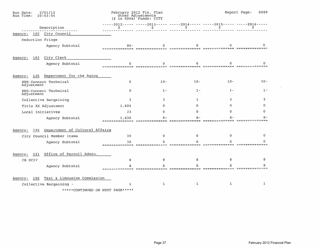| 2/01/12<br>Run Date:<br>Run Time:<br>10:03:54    |              | February 2012 Fin. Plan<br>Other Adjustments<br>$(S \in \{0.005\})$ Funds: CITY  |        |        | 0009<br>Report Page: |
|--------------------------------------------------|--------------|----------------------------------------------------------------------------------|--------|--------|----------------------|
| Description                                      | Ş.           | -----2012----- -----2013----- -----2014----- -----2015----- -----2016-----<br>\$ | \$     | Ş      |                      |
| Agency: 102 City Council                         |              |                                                                                  |        |        |                      |
| Reduction Fringe                                 |              |                                                                                  |        |        |                      |
| Agency Subtotal                                  | $86 -$       |                                                                                  |        |        |                      |
| City Clerk<br>Agency:<br>103                     |              |                                                                                  |        |        |                      |
| Agency Subtotal                                  |              |                                                                                  |        |        |                      |
| Department for the Aging<br>Agency:<br>125       |              |                                                                                  |        |        |                      |
| HHS-Connect Technical<br>Adjustment              | $\mathbf{0}$ | $10 -$                                                                           | $10 -$ | $10 -$ | $10 -$               |
| HHS-Connect Technical<br>Adjustment              | o.           | $1 -$                                                                            | $1 -$  | $1 -$  | $1 -$                |
| Collective Bargaining                            | 3            | 3                                                                                | 3      | 3.     | 3                    |
| Title XX Adjustment                              | 1,604        | 0                                                                                | 0      | o      | n                    |
| Local Initiatives                                | 23           |                                                                                  | O.     | Ω      |                      |
| Agency Subtotal                                  | 1,630        |                                                                                  |        |        |                      |
| Department of Cultural Affairs<br>126<br>Agency: |              |                                                                                  |        |        |                      |
| City Council Member Items                        | 30           | 0                                                                                | n      | o      |                      |
| Agency Subtotal                                  | 30           |                                                                                  |        |        |                      |
| Office of Payroll Admin.<br>Agency:<br>131       |              |                                                                                  |        |        |                      |
| CB DC37                                          | я            | 8                                                                                | 8      | я      |                      |
| Agency Subtotal                                  |              |                                                                                  |        |        |                      |
| Taxi & Limousine Commission<br>156<br>Agency:    |              |                                                                                  |        |        |                      |
| Collective Bargaining -                          | ı            | 1                                                                                | 1      | ٦      | 1                    |

\*\*\*\*\*CONTINUED ON NEXT PAGE\*\*\*\*\*

 $\sim$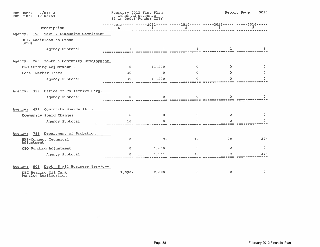| 2/01/12<br>Run Date:<br>Run Time:<br>10:03:54   | February 2012 Fin. Plan<br>Other Adjustments<br>(\$ in 000s) Funds: CITY |                                                                                  |             | Report Page:<br>0010 |          |  |
|-------------------------------------------------|--------------------------------------------------------------------------|----------------------------------------------------------------------------------|-------------|----------------------|----------|--|
| Description                                     | Ŝ.                                                                       | -----2012----- -----2013----- -----2014----- -----2015----- -----2016-----<br>Ŝ. | S.          | Ŝ.                   |          |  |
| Taxi & Limousine Commission<br>156<br>Agency:   |                                                                          |                                                                                  |             |                      |          |  |
| DC37 Additions to Gross<br>(ATG)                |                                                                          |                                                                                  |             |                      |          |  |
| Agency Subtotal                                 |                                                                          |                                                                                  |             |                      |          |  |
| 260 Youth & Community Development<br>Agency:    |                                                                          |                                                                                  |             |                      |          |  |
| CEO Funding Adjustment                          | $\Omega$                                                                 | 11,200                                                                           | $\Omega$    | 0                    |          |  |
| Local Member Items                              | 35                                                                       | $\Omega$                                                                         | n           |                      | 0        |  |
| Agency Subtotal                                 | 35                                                                       | 11,200                                                                           |             |                      |          |  |
| Office of Collective Barg.<br>Agency:<br>313    |                                                                          |                                                                                  |             |                      |          |  |
| Agency Subtotal                                 |                                                                          |                                                                                  |             |                      |          |  |
| Community Boards (All)<br>499<br>Agency:        |                                                                          |                                                                                  |             |                      |          |  |
| Community Board Changes                         | 16                                                                       | $\Omega$                                                                         | n           | 0                    | 0        |  |
| Agency Subtotal                                 | 16                                                                       |                                                                                  |             |                      |          |  |
| Department of Probation<br>781<br>Agency:       |                                                                          |                                                                                  |             |                      |          |  |
| HHS-Connect Technical<br>Adjustment             | $\Omega$                                                                 | $39 -$                                                                           | $39 -$      | $39 -$               | $39 -$   |  |
| CEO Funding Adjustment                          | 0                                                                        | 1,600                                                                            | $\mathbf 0$ | 0                    | 0        |  |
| Agency Subtotal                                 |                                                                          | 1,561                                                                            | 39          | 39-                  | 39       |  |
| Dept. Small Business Services<br>801<br>Agency: |                                                                          |                                                                                  |             |                      |          |  |
| DEC Heating Oil Tank<br>Penalty Reallocation    | $2,090 -$                                                                | 2,090                                                                            |             | 0                    | $\Omega$ |  |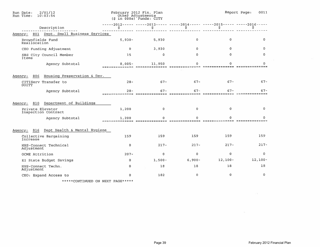| 2/01/12<br>Run Date:<br>Run Time:<br>10:03:54 |                       | February 2012 Fin. Plan<br>Other Adjustments<br>$(S \in \{0.005\})$ Funds: CITY |             |                                                                   | Report Page:<br>0011 |
|-----------------------------------------------|-----------------------|---------------------------------------------------------------------------------|-------------|-------------------------------------------------------------------|----------------------|
| Description                                   | s                     | \$                                                                              | \$          | $---2012--- ----2013--- ----2014--- ----2015--- ----2015---$<br>s | s                    |
| 801 Dept. Small Business Services<br>Agency:  |                       |                                                                                 |             |                                                                   |                      |
| Brownfields Fund<br>Reallocation              | $5,930-$              | 5,930                                                                           | $\Omega$    | $\mathbf{0}$                                                      | o                    |
| CEO Funding Adjustment                        | $\mathbf{0}$          | 3,930                                                                           | $\Omega$    | 0                                                                 | $\Omega$             |
| SBS City Council Member<br>Items              | 15                    | $\mathbf 0$                                                                     | $\mathbf 0$ | 0                                                                 | $\Omega$             |
| Agency Subtotal                               | $8.005 -$<br>-------- | 11,950                                                                          | n           |                                                                   | $\Omega$             |
|                                               |                       |                                                                                 |             |                                                                   |                      |
| Housing Preservation & Dev.<br>806<br>Agency: |                       |                                                                                 |             |                                                                   |                      |
| CITIServ Transfer to<br>DOITT                 | $28 -$                | $67 -$                                                                          | $67 -$      | $67 -$                                                            | $67 -$               |
| Agency Subtotal                               | $28 -$                | $67 -$                                                                          | $67-$       | $67 -$                                                            | $67 -$               |
| Department of Buildings<br>810<br>Agency:     |                       |                                                                                 |             |                                                                   |                      |
| Private Elevator<br>Inspection Contract       | 1,200                 | ٥                                                                               | $\Omega$    | 0                                                                 | $\Omega$             |
| Agency Subtotal                               | 1,200                 |                                                                                 |             |                                                                   |                      |
| Dept Health & Mental Hygiene<br>Agency: 816   |                       |                                                                                 |             |                                                                   |                      |
| Collective Bargaining<br>Increase             | 159                   | 159                                                                             | 159         | 159                                                               | 159                  |
| HHS-Connect Technical<br>Adjustment           | $\circ$               | $217 -$                                                                         | $217 -$     | $217 -$                                                           | $217 -$              |
| OCME Attrition                                | $207 -$               | $\mathbf 0$                                                                     | $\mathbf 0$ | $\Omega$                                                          | $\Omega$             |
| EI State Budget Savings                       | $\circ$               | $1,500-$                                                                        | $6,900 -$   | $12,100-$                                                         | $12, 100 -$          |
| HHS-Connect Techn.<br>Adjustment              | 0                     | 10                                                                              | 18          | 18                                                                | 18                   |
| CEO: Expand Access to                         | Ð                     | 182                                                                             | 0           | $\mathbf o$                                                       | $\Omega$             |
|                                               |                       |                                                                                 |             |                                                                   |                      |

\*\*\*\*\*CONTINUED ON NEXT PAGE\*\*\*\*\*

 $\sim 10$ 

 $\overline{\mathcal{M}}$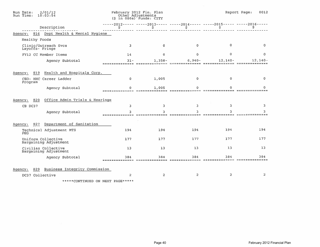| 2/01/12<br>Run Date:<br>Run Time:<br>10:03:54    |                          | February 2012 Fin. Plan<br>Other Adjustments<br>$(5 in 000s)$ Funds: CITY |                                                                                 |                              | Report Page:<br>0012        |
|--------------------------------------------------|--------------------------|---------------------------------------------------------------------------|---------------------------------------------------------------------------------|------------------------------|-----------------------------|
| Description                                      | s                        | s                                                                         | -----2012----- -----2013----- -----2014----- -----2015----- -----2016-----<br>Ş | s                            |                             |
| 816 Dept Health & Mental Hygiene<br>Agency:      |                          |                                                                           |                                                                                 |                              |                             |
| <b>Healthy Foods</b>                             |                          |                                                                           |                                                                                 |                              |                             |
| Clinic/Outreach Svcs<br>Layoffs- Fringe          | 3                        | $\mathbf 0$                                                               | $\mathbf{0}$                                                                    | 0                            | 0                           |
| FY12 CC Member Items                             | 14                       | $\overline{0}$                                                            | 0                                                                               | o                            | 0                           |
| Agency Subtotal                                  | $31 -$<br>============== | $1,358-$                                                                  | $6,940-$<br>============                                                        | $12,140-$<br>=============== | $12,140-$<br>============== |
| Health and Hospitals Corp.<br>819<br>Agency:     |                          |                                                                           |                                                                                 |                              |                             |
| CEO: HHC Career Ladder<br>Program                | $\Omega$                 | 1,005                                                                     | $\mathbf 0$                                                                     | $\Omega$                     | 0                           |
| Agency Subtotal                                  | 0                        | 1,005<br>;=============================                                   | Ω<br>======= =====                                                              |                              |                             |
| Office Admin Trials & Hearings<br>820<br>Agency: |                          |                                                                           |                                                                                 |                              |                             |
| CB DC37                                          | 3                        | 3                                                                         | 3                                                                               | 3                            | 3.                          |
| Agency Subtotal                                  |                          | $m = m = m$                                                               |                                                                                 |                              |                             |
| Department of Sanitation<br>Agency:<br>827       |                          |                                                                           |                                                                                 |                              |                             |
| Technical Adjustment MTS<br>PEG                  | 194                      | 194                                                                       | 194                                                                             | 194                          | 194                         |
| Uniform Collective<br>Bargaining Adjustment      | 177                      | 177                                                                       | 177                                                                             | 177                          | 177                         |
| Civilian Collective<br>Bargaining Adjustment     | 13                       | 13                                                                        | 13                                                                              | 13                           | 13                          |
| Agency Subtotal                                  | 384                      | 384<br>--------                                                           | 384                                                                             | 384<br>=======               | 384<br>========             |
| Business Integrity Commission<br>829<br>Agency:  |                          |                                                                           |                                                                                 |                              |                             |
| DC37 Collective                                  | $\overline{2}$           | $\overline{2}$                                                            | $\overline{a}$                                                                  | $\overline{2}$               | $\overline{2}$              |
| *****CONTINUED ON NEXT PAGE*****                 |                          |                                                                           |                                                                                 |                              |                             |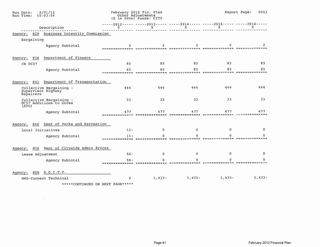| 2/01/12<br>Run Date:<br>Run Time:<br>10:03:54               |                         | February 2012 Fin. Plan<br>Other Adjustments<br>$(5 in 000s)$ Funds: CITY |          |                                                                                 | Report Page:<br>0013 |
|-------------------------------------------------------------|-------------------------|---------------------------------------------------------------------------|----------|---------------------------------------------------------------------------------|----------------------|
| Description                                                 | S                       | \$.                                                                       | s        | $---2012--- ----2013--- ----2014--- ----2015--- ----2015--- ----2016--- -$<br>s | s                    |
| Business Integrity Commission<br>829<br>Agency:             |                         |                                                                           |          |                                                                                 |                      |
| Bargaining                                                  |                         |                                                                           |          |                                                                                 |                      |
| Agency Subtotal                                             | $\overline{2}$          | $\overline{\mathbf{z}}$                                                   | 2        | ===============================                                                 |                      |
| Department of Finance<br>836<br>Agency:                     | 83                      | 83                                                                        | 83       | 83                                                                              | 83                   |
| CB DC37                                                     |                         |                                                                           | 83       | 83                                                                              | 83                   |
| Agency Subtotal                                             | 83                      | 83                                                                        |          |                                                                                 |                      |
| Department of Transportation<br>Agency:<br>841              |                         |                                                                           |          |                                                                                 |                      |
| Collective Bargaining -<br>Supervisor Highway<br>Repairers  | 444                     | 444                                                                       | 444      | 444                                                                             | 444                  |
| Collective Bargaining -<br>DC37 Additions to Gross<br>(ATG) | 33                      | 33                                                                        | 33       | 33                                                                              | 33                   |
| Agency Subtotal                                             | 477                     | 477                                                                       | 477      | 477                                                                             | 477                  |
| Dept of Parks and Recreation<br>Agency:<br>846              |                         |                                                                           |          |                                                                                 |                      |
| Local Initiatives                                           | $11 -$                  | $\Omega$                                                                  | 0        | 0                                                                               | $\Omega$             |
| Agency Subtotal                                             | $11 -$<br>============= |                                                                           |          |                                                                                 |                      |
| Dept of Citywide Admin Srvces<br>856<br>Agency:             |                         |                                                                           |          |                                                                                 |                      |
| Lease Adjustment                                            | $56 -$                  | $\Omega$                                                                  | 0        | 0                                                                               | 0                    |
| Agency Subtotal                                             | $56 -$                  | ==========                                                                |          |                                                                                 | ==============       |
| D.O.I.T.T.<br>858<br>Agency:                                |                         |                                                                           |          |                                                                                 |                      |
| HHS-Connect Technical                                       | $\mathbf{0}$            | $1,433-$                                                                  | $1,433-$ | $1,433-$                                                                        | $1,433-$             |
| *****CONTINUED ON NEXT PAGE*****                            |                         |                                                                           |          |                                                                                 |                      |

 $\sim 10$